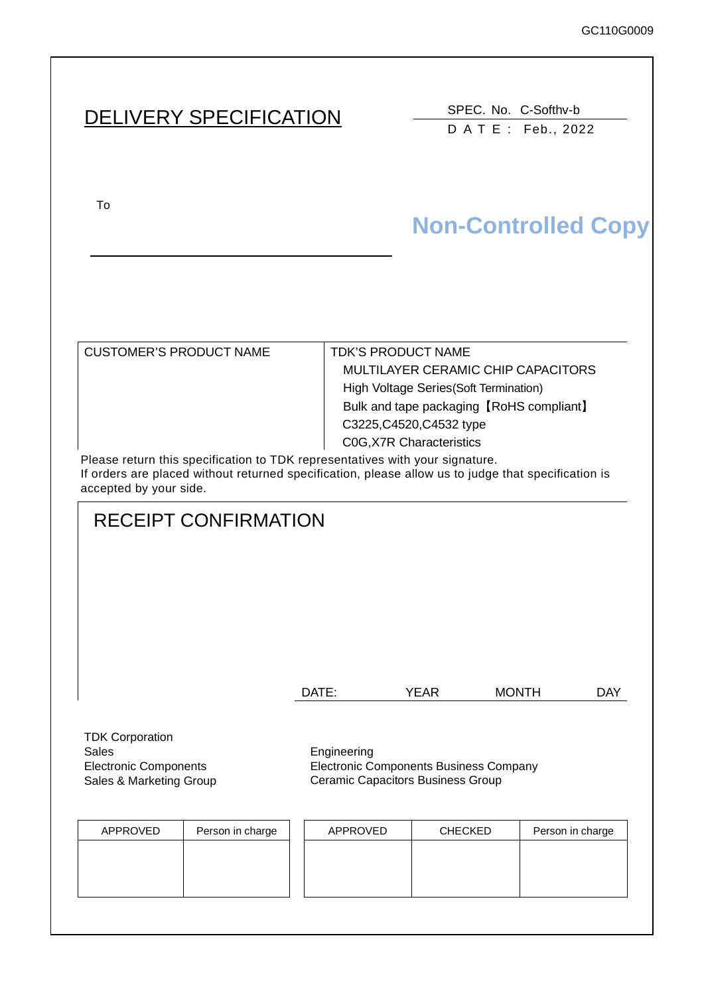# DELIVERY SPECIFICATION SPEC. No. C-Softhv-b

DATE: Feb., 2022

To upon the acceptance of this spec. previous spec. previous spec. previous spec. previous spec. previous spec.

# **Non-Controlled Copy**

| CUSTOMER'S PRODUCT NAME                                                     | <b>TDK'S PRODUCT NAME</b>                |
|-----------------------------------------------------------------------------|------------------------------------------|
|                                                                             | MULTILAYER CERAMIC CHIP CAPACITORS       |
|                                                                             | High Voltage Series (Soft Termination)   |
|                                                                             | Bulk and tape packaging [RoHS compliant] |
|                                                                             | C3225, C4520, C4532 type                 |
|                                                                             | <b>COG, X7R Characteristics</b>          |
| Please return this specification to TDK representatives with your signature |                                          |

Please return this specification to TDK representatives with your signature. If orders are placed without returned specification, please allow us to judge that specification is accepted by your side.

## RECEIPT CONFIRMATION

| DATE: | YEAR | <b>MONTH</b> | DAY |
|-------|------|--------------|-----|
|       |      |              |     |

TDK Corporation Sales **Engineering** Electronic Components Sales & Marketing Group

Electronic Components Business Company Ceramic Capacitors Business Group

| APPROVED | Person in charge | APPROVED | <b>CHECKED</b> | Person in charge |
|----------|------------------|----------|----------------|------------------|
|          |                  |          |                |                  |
|          |                  |          |                |                  |
|          |                  |          |                |                  |
|          |                  |          |                |                  |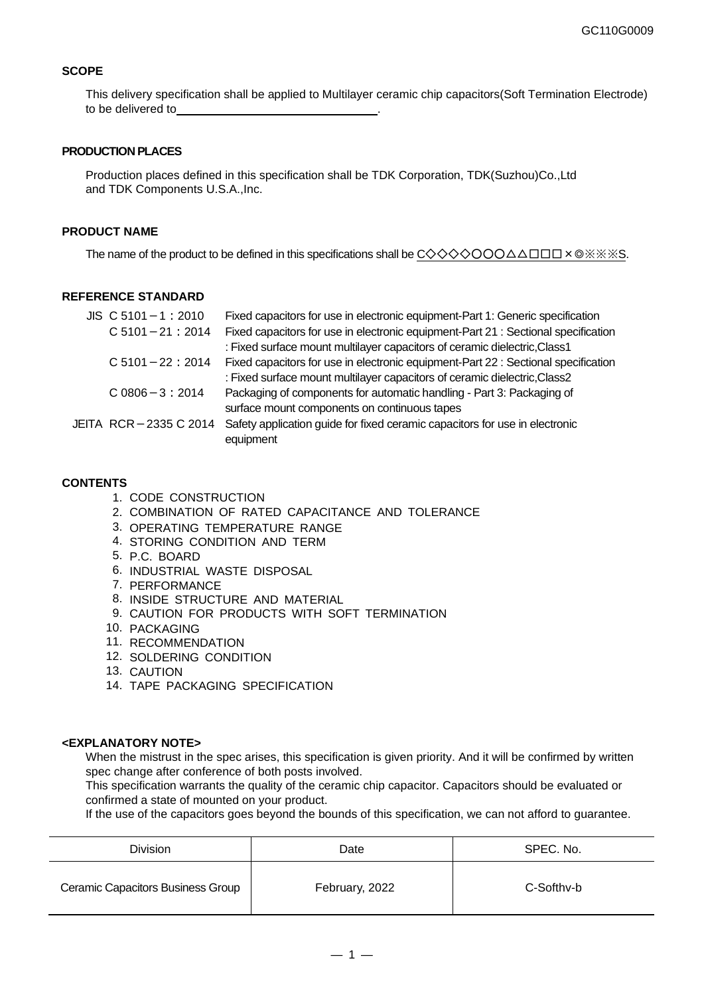#### **SCOPE**

This delivery specification shall be applied to Multilayer ceramic chip capacitors(Soft Termination Electrode) to be delivered to

#### **PRODUCTION PLACES**

Production places defined in this specification shall be TDK Corporation, TDK(Suzhou)Co.,Ltd and TDK Components U.S.A.,Inc.

#### **PRODUCT NAME**

The name of the product to be defined in this specifications shall be  $C \diamondsuit \diamondsuit \diamondsuit \bigcirc \bigcirc \bigcirc \triangle \triangle \square \square \times \circ \otimes \otimes \otimes \otimes \diamond$ 

#### **REFERENCE STANDARD**

| $JIS$ C 5101 - 1 : 2010 | Fixed capacitors for use in electronic equipment-Part 1: Generic specification     |
|-------------------------|------------------------------------------------------------------------------------|
| $C$ 5101 - 21 : 2014    | Fixed capacitors for use in electronic equipment-Part 21 : Sectional specification |
|                         | : Fixed surface mount multilayer capacitors of ceramic dielectric, Class1          |
| $C$ 5101 - 22 : 2014    | Fixed capacitors for use in electronic equipment-Part 22 : Sectional specification |
|                         | : Fixed surface mount multilayer capacitors of ceramic dielectric, Class2          |
| $C.0806 - 3:2014$       | Packaging of components for automatic handling - Part 3: Packaging of              |
|                         | surface mount components on continuous tapes                                       |
| JEITA RCR-2335 C 2014   | Safety application guide for fixed ceramic capacitors for use in electronic        |
|                         | equipment                                                                          |

#### **CONTENTS**

- 1. CODE CONSTRUCTION
- 2. COMBINATION OF RATED CAPACITANCE AND TOLERANCE
- 3. OPERATING TEMPERATURE RANGE
- 4. STORING CONDITION AND TERM
- 5. P.C. BOARD
- 6. INDUSTRIAL WASTE DISPOSAL
- 7. PERFORMANCE
- 8. INSIDE STRUCTURE AND MATERIAL
- 9. CAUTION FOR PRODUCTS WITH SOFT TERMINATION
- 10. PACKAGING
- 11. RECOMMENDATION
- 12. SOLDERING CONDITION
- 13. CAUTION
- 14. TAPE PACKAGING SPECIFICATION

#### **<EXPLANATORY NOTE>**

When the mistrust in the spec arises, this specification is given priority. And it will be confirmed by written spec change after conference of both posts involved.

This specification warrants the quality of the ceramic chip capacitor. Capacitors should be evaluated or confirmed a state of mounted on your product.

If the use of the capacitors goes beyond the bounds of this specification, we can not afford to guarantee.

| <b>Division</b>                   | Date           | SPEC, No.  |  |
|-----------------------------------|----------------|------------|--|
| Ceramic Capacitors Business Group | February, 2022 | C-Softhy-b |  |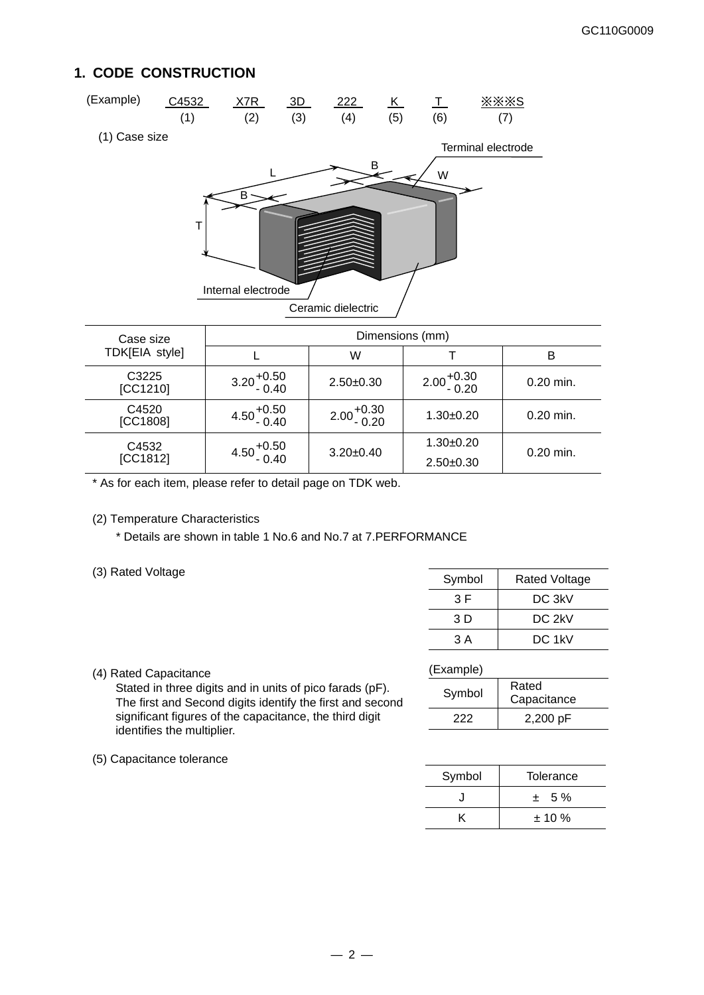### **1. CODE CONSTRUCTION**



| I DKIEIA STVIEI   |                        | W                      |                        | B           |
|-------------------|------------------------|------------------------|------------------------|-------------|
| C3225<br>[CC1210] | $3.20^{+0.50}_{-0.40}$ | $2.50 + 0.30$          | $2.00^{+0.30}_{-0.20}$ | $0.20$ min. |
| C4520<br>[CC1808] | $4.50^{+0.50}_{-0.40}$ | $2.00^{+0.30}_{-0.20}$ | $1.30 \pm 0.20$        | $0.20$ min. |
| C4532             | $4.50^{+0.50}_{-0.40}$ | $3.20 \pm 0.40$        | $1.30 + 0.20$          | $0.20$ min. |
| [CC1812]          |                        |                        | $2.50+0.30$            |             |

\* As for each item, please refer to detail page on TDK web.

#### (2) Temperature Characteristics

\* Details are shown in table 1 No.6 and No.7 at 7.PERFORMANCE

(3) Rated Voltage

| Symbol | <b>Rated Voltage</b> |
|--------|----------------------|
| 3 F    | DC 3kV               |
| 3 D    | DC 2kV               |
| 3 A    | DC 1kV               |

(4) Rated Capacitance

Stated in three digits and in units of pico farads (pF). The first and Second digits identify the first and second significant figures of the capacitance, the third digit identifies the multiplier.

| -xample |  |
|---------|--|
|         |  |

| Symbol | Rated<br>Capacitance |
|--------|----------------------|
| 222    | 2,200 pF             |

(5) Capacitance tolerance

| Symbol | Tolerance |
|--------|-----------|
|        | $± 5\%$   |
|        | $± 10 \%$ |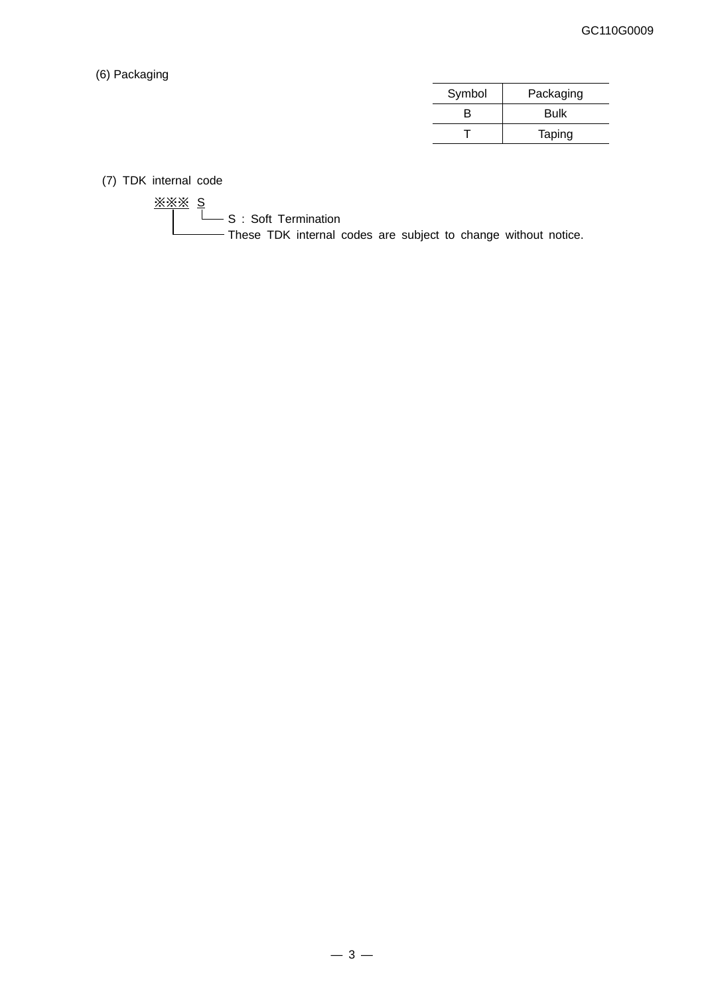#### (6) Packaging

| Symbol | Packaging   |
|--------|-------------|
| R      | <b>Bulk</b> |
|        | Taping      |

(7) TDK internal code

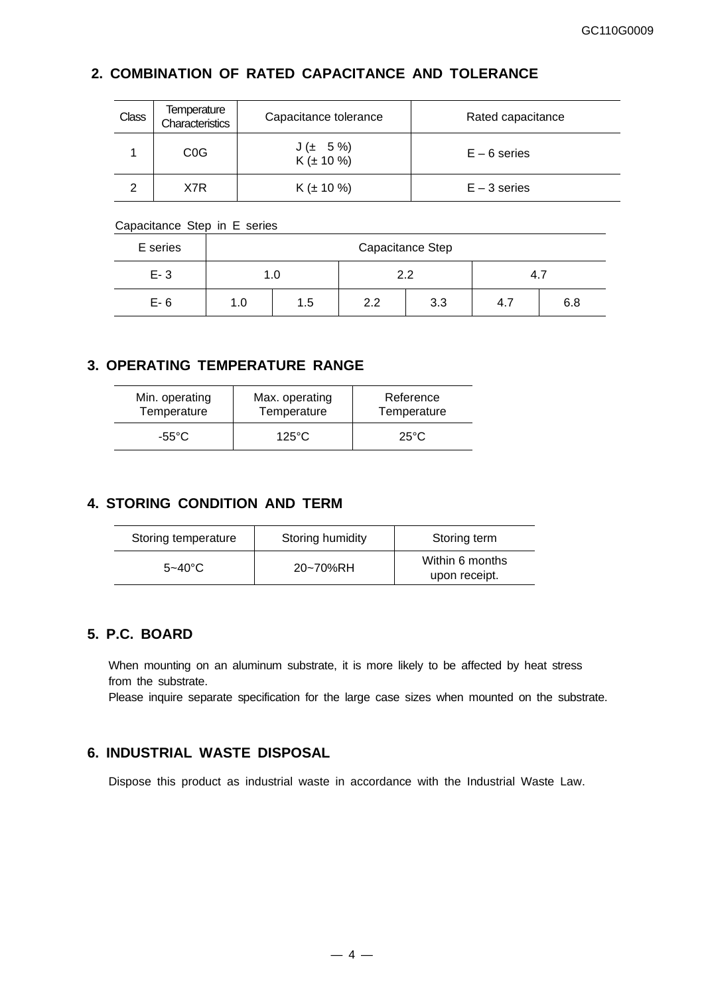## **2. COMBINATION OF RATED CAPACITANCE AND TOLERANCE**

| <b>Class</b> | Temperature<br>Characteristics | Capacitance tolerance       | Rated capacitance |
|--------------|--------------------------------|-----------------------------|-------------------|
|              | C <sub>0</sub> G               | $J(± 5\%)$<br>$K(\pm 10\%)$ | $E - 6$ series    |
|              | X7R                            | $K (\pm 10 \%)$             | $E - 3$ series    |

#### Capacitance Step in E series

| E series | Capacitance Step |     |            |  |     |     |  |  |
|----------|------------------|-----|------------|--|-----|-----|--|--|
| $E - 3$  |                  | 1.U | 2.2        |  | 4.7 |     |  |  |
| $E-6$    | 1.5<br>1.0       |     | 2.2<br>3.3 |  | 4.1 | 6.8 |  |  |

#### **3. OPERATING TEMPERATURE RANGE**

| Min. operating | Max. operating  | Reference      |  |  |
|----------------|-----------------|----------------|--|--|
| Temperature    | Temperature     | Temperature    |  |  |
| -55°C          | $125^{\circ}$ C | $25^{\circ}$ C |  |  |

### **4. STORING CONDITION AND TERM**

| Storing temperature | Storing humidity | Storing term                     |
|---------------------|------------------|----------------------------------|
| $5 - 40^{\circ}$ C  | 20~70%RH         | Within 6 months<br>upon receipt. |

#### **5. P.C. BOARD**

When mounting on an aluminum substrate, it is more likely to be affected by heat stress from the substrate.

Please inquire separate specification for the large case sizes when mounted on the substrate.

### **6. INDUSTRIAL WASTE DISPOSAL**

Dispose this product as industrial waste in accordance with the Industrial Waste Law.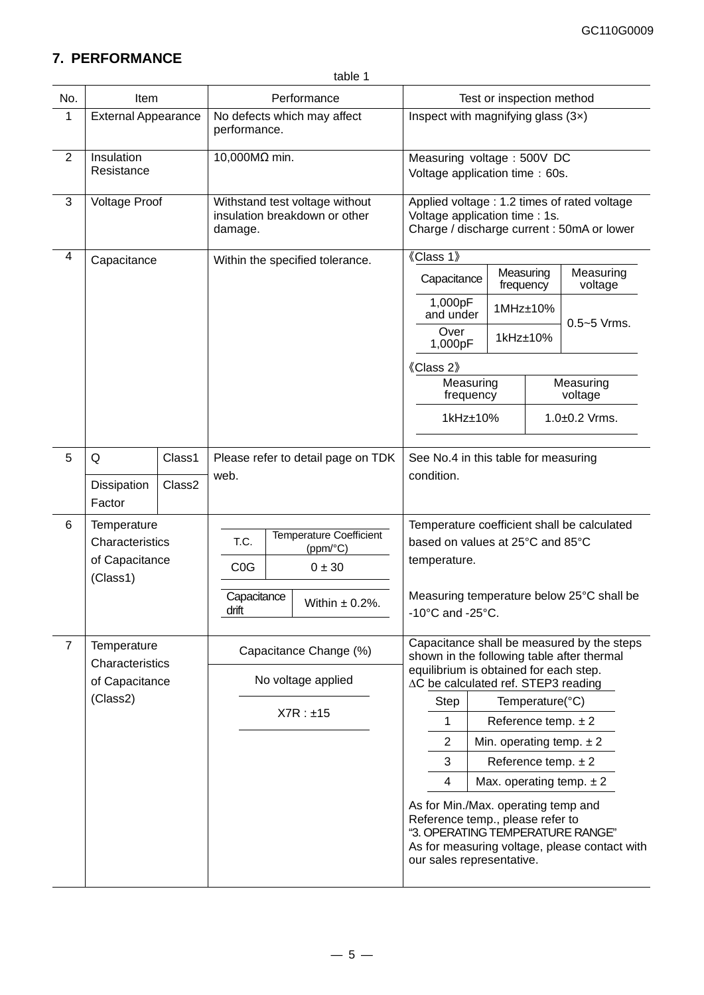## **7. PERFORMANCE**

| No.            | Item                                                         |        | Performance                                      |  |                                                                            |                                                                                                                                          | Test or inspection method                                                                                                    |  |                         |                                               |                                                                                          |
|----------------|--------------------------------------------------------------|--------|--------------------------------------------------|--|----------------------------------------------------------------------------|------------------------------------------------------------------------------------------------------------------------------------------|------------------------------------------------------------------------------------------------------------------------------|--|-------------------------|-----------------------------------------------|------------------------------------------------------------------------------------------|
| 1              | <b>External Appearance</b>                                   |        | performance.                                     |  | No defects which may affect                                                |                                                                                                                                          | Inspect with magnifying glass $(3x)$                                                                                         |  |                         |                                               |                                                                                          |
| $\overline{2}$ | Insulation<br>Resistance                                     |        | 10,000MΩ min.                                    |  |                                                                            | Measuring voltage : 500V DC<br>Voltage application time: 60s.                                                                            |                                                                                                                              |  |                         |                                               |                                                                                          |
| 3              | <b>Voltage Proof</b>                                         |        | damage.                                          |  | Withstand test voltage without<br>insulation breakdown or other            |                                                                                                                                          | Applied voltage : 1.2 times of rated voltage<br>Voltage application time : 1s.<br>Charge / discharge current : 50mA or lower |  |                         |                                               |                                                                                          |
| 4              | Capacitance                                                  |        |                                                  |  | Within the specified tolerance.                                            |                                                                                                                                          | 《Class 1》                                                                                                                    |  |                         |                                               |                                                                                          |
|                |                                                              |        |                                                  |  |                                                                            |                                                                                                                                          | Capacitance                                                                                                                  |  | Measuring<br>frequency  |                                               | Measuring<br>voltage                                                                     |
|                |                                                              |        |                                                  |  |                                                                            |                                                                                                                                          | 1,000pF<br>and under                                                                                                         |  | 1MHz±10%                |                                               | $0.5 - 5$ Vrms.                                                                          |
|                |                                                              |        |                                                  |  |                                                                            |                                                                                                                                          | Over<br>1,000pF                                                                                                              |  | 1kHz±10%                |                                               |                                                                                          |
|                |                                                              |        |                                                  |  |                                                                            |                                                                                                                                          | 《Class 2》                                                                                                                    |  |                         |                                               |                                                                                          |
|                |                                                              |        |                                                  |  |                                                                            |                                                                                                                                          | Measuring<br>frequency                                                                                                       |  |                         |                                               | Measuring<br>voltage                                                                     |
|                |                                                              |        |                                                  |  |                                                                            |                                                                                                                                          | 1kHz±10%                                                                                                                     |  |                         | 1.0±0.2 Vrms.                                 |                                                                                          |
| 5              | Q                                                            | Class1 |                                                  |  | Please refer to detail page on TDK                                         |                                                                                                                                          | See No.4 in this table for measuring                                                                                         |  |                         |                                               |                                                                                          |
|                | Dissipation<br>Factor                                        | Class2 | web.                                             |  |                                                                            |                                                                                                                                          | condition.                                                                                                                   |  |                         |                                               |                                                                                          |
| 6              | Temperature<br>Characteristics<br>of Capacitance<br>(Class1) |        | T.C.<br>C <sub>0</sub> G<br>Capacitance<br>drift |  | <b>Temperature Coefficient</b><br>(ppm/°C)<br>0 ± 30<br>Within $\pm$ 0.2%. |                                                                                                                                          | based on values at 25°C and 85°C<br>temperature.<br>-10°C and -25°C.                                                         |  |                         |                                               | Temperature coefficient shall be calculated<br>Measuring temperature below 25°C shall be |
| $\overline{7}$ | Temperature<br>Characteristics                               |        |                                                  |  | Capacitance Change (%)                                                     |                                                                                                                                          | Capacitance shall be measured by the steps<br>shown in the following table after thermal                                     |  |                         |                                               |                                                                                          |
|                | of Capacitance                                               |        |                                                  |  | No voltage applied                                                         |                                                                                                                                          | equilibrium is obtained for each step.<br>∆C be calculated ref. STEP3 reading                                                |  |                         |                                               |                                                                                          |
|                | (Class2)                                                     |        |                                                  |  |                                                                            |                                                                                                                                          | Step                                                                                                                         |  |                         | Temperature(°C)                               |                                                                                          |
|                |                                                              |        |                                                  |  | X7R : ±15                                                                  |                                                                                                                                          | 1                                                                                                                            |  | Reference temp. $\pm 2$ |                                               |                                                                                          |
|                |                                                              |        |                                                  |  |                                                                            |                                                                                                                                          | $\overline{2}$                                                                                                               |  |                         |                                               | Min. operating temp. $\pm 2$                                                             |
|                |                                                              |        |                                                  |  |                                                                            |                                                                                                                                          | 3                                                                                                                            |  | Reference temp. $\pm 2$ |                                               |                                                                                          |
|                |                                                              |        |                                                  |  |                                                                            |                                                                                                                                          | 4                                                                                                                            |  |                         |                                               | Max. operating temp. $\pm 2$                                                             |
|                |                                                              |        |                                                  |  |                                                                            | As for Min./Max. operating temp and<br>Reference temp., please refer to<br>"3. OPERATING TEMPERATURE RANGE"<br>our sales representative. |                                                                                                                              |  |                         | As for measuring voltage, please contact with |                                                                                          |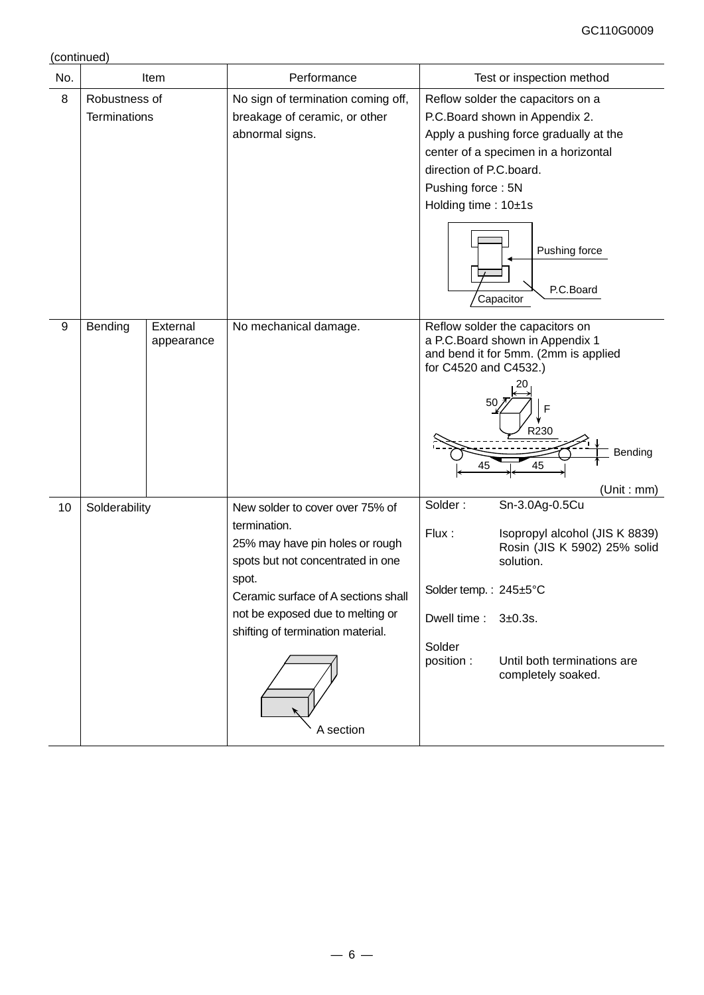(continued)

| No. | Item                                 |            | Performance                                                                                                                                                                                                                                                   | Test or inspection method                                                                                                                                                                                                                         |                                    |                                                                                                                                                                                                                                                                         |  |  |
|-----|--------------------------------------|------------|---------------------------------------------------------------------------------------------------------------------------------------------------------------------------------------------------------------------------------------------------------------|---------------------------------------------------------------------------------------------------------------------------------------------------------------------------------------------------------------------------------------------------|------------------------------------|-------------------------------------------------------------------------------------------------------------------------------------------------------------------------------------------------------------------------------------------------------------------------|--|--|
| 8   | Robustness of<br><b>Terminations</b> |            | breakage of ceramic, or other<br>abnormal signs.<br>External                                                                                                                                                                                                  |                                                                                                                                                                                                                                                   | No sign of termination coming off, | Reflow solder the capacitors on a<br>P.C.Board shown in Appendix 2.<br>Apply a pushing force gradually at the<br>center of a specimen in a horizontal<br>direction of P.C.board.<br>Pushing force: 5N<br>Holding time: 10±1s<br>Pushing force<br>P.C.Board<br>Capacitor |  |  |
| 9   | Bending                              | appearance | No mechanical damage.                                                                                                                                                                                                                                         | Reflow solder the capacitors on<br>a P.C.Board shown in Appendix 1<br>and bend it for 5mm. (2mm is applied<br>for C4520 and C4532.)<br>50<br>F<br>R230<br>Bending<br>45<br>45<br>(Unit : mm)                                                      |                                    |                                                                                                                                                                                                                                                                         |  |  |
| 10  | Solderability                        |            | New solder to cover over 75% of<br>termination.<br>25% may have pin holes or rough<br>spots but not concentrated in one<br>spot.<br>Ceramic surface of A sections shall<br>not be exposed due to melting or<br>shifting of termination material.<br>A section | Solder:<br>Sn-3.0Ag-0.5Cu<br>Flux:<br>Isopropyl alcohol (JIS K 8839)<br>Rosin (JIS K 5902) 25% solid<br>solution.<br>Solder temp.: 245±5°C<br>Dwell time:<br>3±0.3s.<br>Solder<br>position :<br>Until both terminations are<br>completely soaked. |                                    |                                                                                                                                                                                                                                                                         |  |  |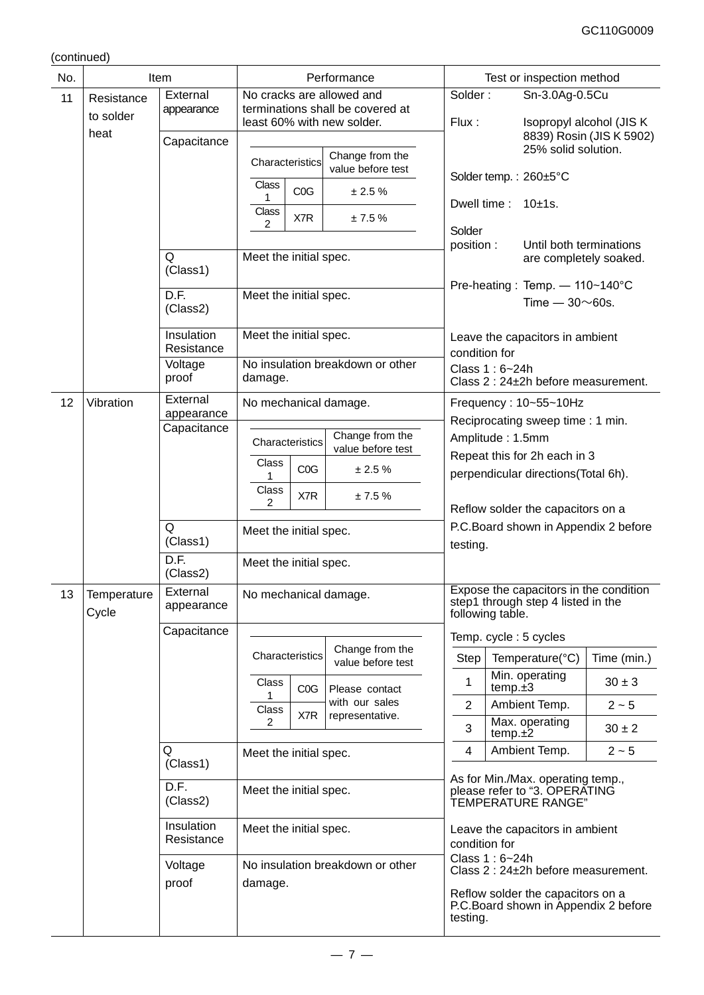(continued)

| No. |                         | Item                          | Performance                                                                          |                 |                                                | Test or inspection method                                                  |                                                                                          |         |                                                                              |                                                       |
|-----|-------------------------|-------------------------------|--------------------------------------------------------------------------------------|-----------------|------------------------------------------------|----------------------------------------------------------------------------|------------------------------------------------------------------------------------------|---------|------------------------------------------------------------------------------|-------------------------------------------------------|
| 11  | Resistance<br>to solder | External<br>appearance        | No cracks are allowed and<br>terminations shall be covered at                        |                 |                                                |                                                                            | Solder:                                                                                  |         | Sn-3.0Ag-0.5Cu                                                               |                                                       |
|     | heat                    | Capacitance                   | least 60% with new solder.                                                           |                 |                                                |                                                                            | Flux:                                                                                    |         |                                                                              | Isopropyl alcohol (JIS K)<br>8839) Rosin (JIS K 5902) |
|     |                         |                               | Characteristics                                                                      |                 |                                                | Change from the<br>value before test                                       |                                                                                          |         | 25% solid solution.                                                          |                                                       |
|     |                         | Class<br>COG<br>± 2.5%<br>1   |                                                                                      |                 | Solder temp.: 260±5°C<br>Dwell time: $10±1s$ . |                                                                            |                                                                                          |         |                                                                              |                                                       |
|     |                         |                               | Class<br>2                                                                           | X7R             |                                                | ± 7.5%                                                                     |                                                                                          |         |                                                                              |                                                       |
|     |                         | Q                             | Meet the initial spec.                                                               |                 |                                                |                                                                            | Solder<br>position :                                                                     |         | Until both terminations                                                      |                                                       |
|     |                         | (Class1)                      |                                                                                      |                 |                                                |                                                                            |                                                                                          |         | are completely soaked.<br>Pre-heating: Temp. - 110~140°C                     |                                                       |
|     |                         | $\overline{D.F.}$<br>(Class2) | Meet the initial spec.                                                               |                 |                                                |                                                                            |                                                                                          |         | Time $-30\nu$ 60s.                                                           |                                                       |
|     |                         | Insulation<br>Resistance      | Meet the initial spec.                                                               |                 |                                                |                                                                            | condition for                                                                            |         | Leave the capacitors in ambient                                              |                                                       |
|     |                         | Voltage<br>proof              | damage.                                                                              |                 |                                                | No insulation breakdown or other                                           | Class 1: 6~24h                                                                           |         | Class 2: 24±2h before measurement.                                           |                                                       |
| 12  | Vibration               | External<br>appearance        | No mechanical damage.                                                                |                 |                                                |                                                                            |                                                                                          |         | Frequency: 10~55~10Hz                                                        |                                                       |
|     |                         | Capacitance                   | Change from the<br>Characteristics<br>value before test                              |                 |                                                |                                                                            | Reciprocating sweep time: 1 min.<br>Amplitude: 1.5mm                                     |         |                                                                              |                                                       |
|     |                         |                               |                                                                                      |                 |                                                |                                                                            | Repeat this for 2h each in 3                                                             |         |                                                                              |                                                       |
|     |                         |                               | Class                                                                                | COG             |                                                | ± 2.5%                                                                     | perpendicular directions(Total 6h).                                                      |         |                                                                              |                                                       |
|     |                         |                               | Class<br>2                                                                           | X7R             |                                                | ± 7.5%                                                                     |                                                                                          |         |                                                                              |                                                       |
|     |                         | Q                             |                                                                                      |                 |                                                |                                                                            | Reflow solder the capacitors on a<br>P.C. Board shown in Appendix 2 before<br>testing.   |         |                                                                              |                                                       |
|     |                         | (Class1)                      | Meet the initial spec.                                                               |                 |                                                |                                                                            |                                                                                          |         |                                                                              |                                                       |
|     |                         | D.F.<br>(Class2)              | Meet the initial spec.                                                               |                 |                                                |                                                                            |                                                                                          |         |                                                                              |                                                       |
| 13  | Temperature<br>Cycle    | External<br>appearance        | No mechanical damage.                                                                |                 |                                                |                                                                            | following table.                                                                         |         | Expose the capacitors in the condition<br>step1 through step 4 listed in the |                                                       |
|     |                         | Capacitance                   |                                                                                      |                 |                                                |                                                                            | Temp. cycle: 5 cycles                                                                    |         |                                                                              |                                                       |
|     |                         |                               |                                                                                      | Characteristics |                                                | Change from the<br>value before test                                       | Step                                                                                     |         | Temperature(°C)                                                              | Time (min.)                                           |
|     |                         |                               | Class                                                                                | COG             | Please contact                                 |                                                                            | 1                                                                                        | temp.±3 | Min. operating                                                               | $30 \pm 3$                                            |
|     |                         |                               | Class                                                                                | X7R             | with our sales<br>representative.              |                                                                            | $\overline{2}$                                                                           |         | Ambient Temp.                                                                | $2 - 5$                                               |
|     |                         |                               | 2                                                                                    |                 |                                                |                                                                            | 3                                                                                        | temp.±2 | Max. operating                                                               | $30 \pm 2$                                            |
|     |                         | Q<br>(Class1)                 | Meet the initial spec.                                                               |                 |                                                |                                                                            | 4                                                                                        |         | Ambient Temp.                                                                | $2 - 5$                                               |
|     |                         | D.F.<br>(Class2)              | Meet the initial spec.<br>Meet the initial spec.<br>No insulation breakdown or other |                 |                                                |                                                                            | As for Min./Max. operating temp.,<br>please refer to "3. OPERATING<br>TEMPERATURE RANGE" |         |                                                                              |                                                       |
|     |                         | Insulation<br>Resistance      |                                                                                      |                 |                                                | Leave the capacitors in ambient<br>condition for                           |                                                                                          |         |                                                                              |                                                       |
|     |                         | Voltage                       |                                                                                      |                 |                                                |                                                                            | Class 1: 6~24h<br>Class 2 : 24±2h before measurement.                                    |         |                                                                              |                                                       |
|     | proof<br>damage.        |                               |                                                                                      | testing.        |                                                | Reflow solder the capacitors on a<br>P.C. Board shown in Appendix 2 before |                                                                                          |         |                                                                              |                                                       |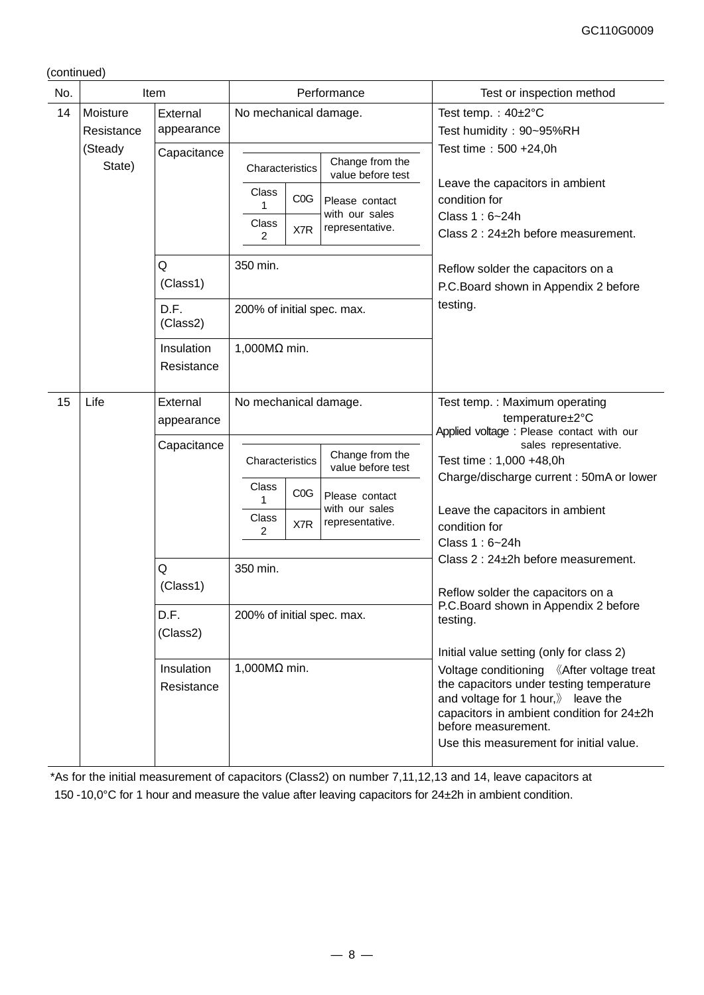(continued)

| No. | Item                   |                          | Performance                                                                                                                                              | Test or inspection method                                                                                                                                                                                                                 |  |  |
|-----|------------------------|--------------------------|----------------------------------------------------------------------------------------------------------------------------------------------------------|-------------------------------------------------------------------------------------------------------------------------------------------------------------------------------------------------------------------------------------------|--|--|
| 14  | Moisture<br>Resistance | External<br>appearance   | No mechanical damage.                                                                                                                                    | Test temp.: $40\pm2^{\circ}C$<br>Test humidity: 90~95%RH                                                                                                                                                                                  |  |  |
|     | (Steady<br>State)      | Capacitance              | Change from the<br>Characteristics<br>value before test<br>Class                                                                                         | Test time: 500 +24,0h<br>Leave the capacitors in ambient                                                                                                                                                                                  |  |  |
|     |                        |                          | C <sub>0</sub> G<br>Please contact<br>with our sales<br>Class<br>representative.<br>X7R<br>$\overline{2}$                                                | condition for<br>Class 1: 6~24h<br>Class 2 : 24±2h before measurement.                                                                                                                                                                    |  |  |
|     |                        | Q<br>(Class1)            | 350 min.                                                                                                                                                 | Reflow solder the capacitors on a<br>P.C.Board shown in Appendix 2 before                                                                                                                                                                 |  |  |
|     |                        | D.F.<br>(Class2)         | 200% of initial spec. max.                                                                                                                               | testing.                                                                                                                                                                                                                                  |  |  |
|     |                        | Insulation<br>Resistance | 1,000 $M\Omega$ min.                                                                                                                                     |                                                                                                                                                                                                                                           |  |  |
| 15  | Life                   | External<br>appearance   | No mechanical damage.                                                                                                                                    | Test temp.: Maximum operating<br>temperature±2°C<br>Applied voltage : Please contact with our                                                                                                                                             |  |  |
|     |                        | Capacitance              | Change from the<br>Characteristics<br>value before test<br>Class<br>COG<br>Please contact<br>1<br>with our sales<br>Class<br>representative.<br>X7R<br>2 | sales representative.<br>Test time: 1,000 +48,0h<br>Charge/discharge current: 50mA or lower<br>Leave the capacitors in ambient<br>condition for                                                                                           |  |  |
|     |                        | Q                        | 350 min.                                                                                                                                                 | Class 1: 6~24h<br>Class 2 : 24±2h before measurement.                                                                                                                                                                                     |  |  |
|     |                        | (Class1)                 |                                                                                                                                                          | Reflow solder the capacitors on a<br>P.C. Board shown in Appendix 2 before                                                                                                                                                                |  |  |
|     |                        | D.F.<br>(Class2)         | 200% of initial spec. max.                                                                                                                               | testing.<br>Initial value setting (only for class 2)                                                                                                                                                                                      |  |  |
|     |                        | Insulation<br>Resistance | $1,000M\Omega$ min.                                                                                                                                      | Voltage conditioning 《After voltage treat<br>the capacitors under testing temperature<br>and voltage for 1 hour, leave the<br>capacitors in ambient condition for 24±2h<br>before measurement.<br>Use this measurement for initial value. |  |  |

\*As for the initial measurement of capacitors (Class2) on number 7,11,12,13 and 14, leave capacitors at 150 -10,0°C for 1 hour and measure the value after leaving capacitors for 24±2h in ambient condition.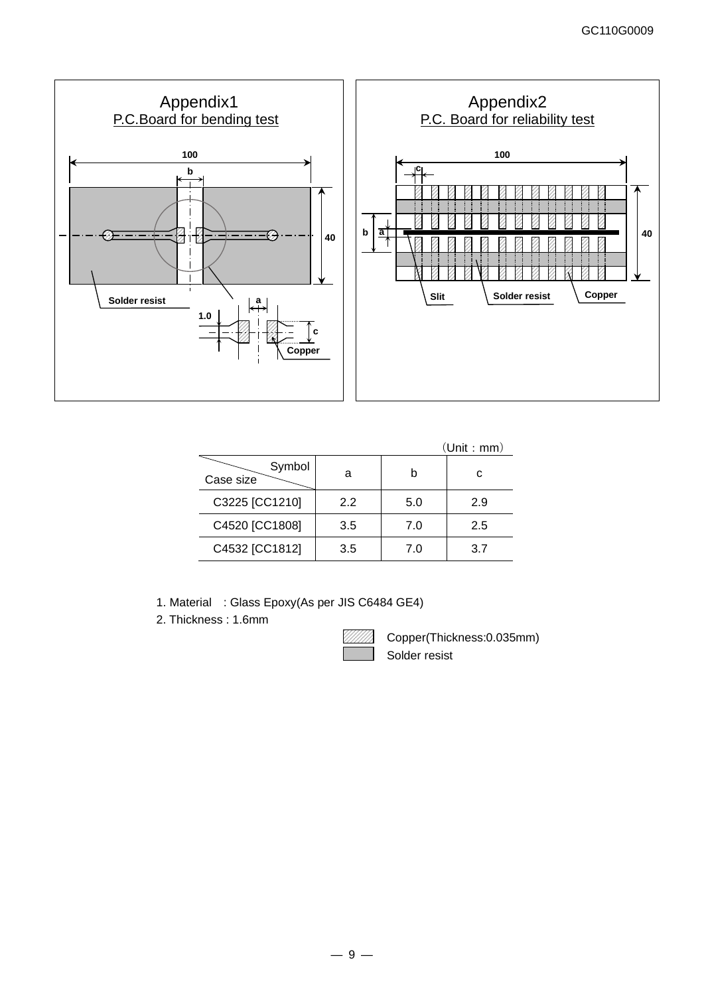

|                     |     |     | (Unit : mm) |
|---------------------|-----|-----|-------------|
| Symbol<br>Case size | а   |     | C           |
| C3225 [CC1210]      | 2.2 | 5.0 | 2.9         |
| C4520 [CC1808]      | 3.5 | 7.0 | 2.5         |
| C4532 [CC1812]      | 3.5 | 7.0 | 37          |

1. Material : Glass Epoxy(As per JIS C6484 GE4)

2. Thickness : 1.6mm

Copper(Thickness:0.035mm) Solder resist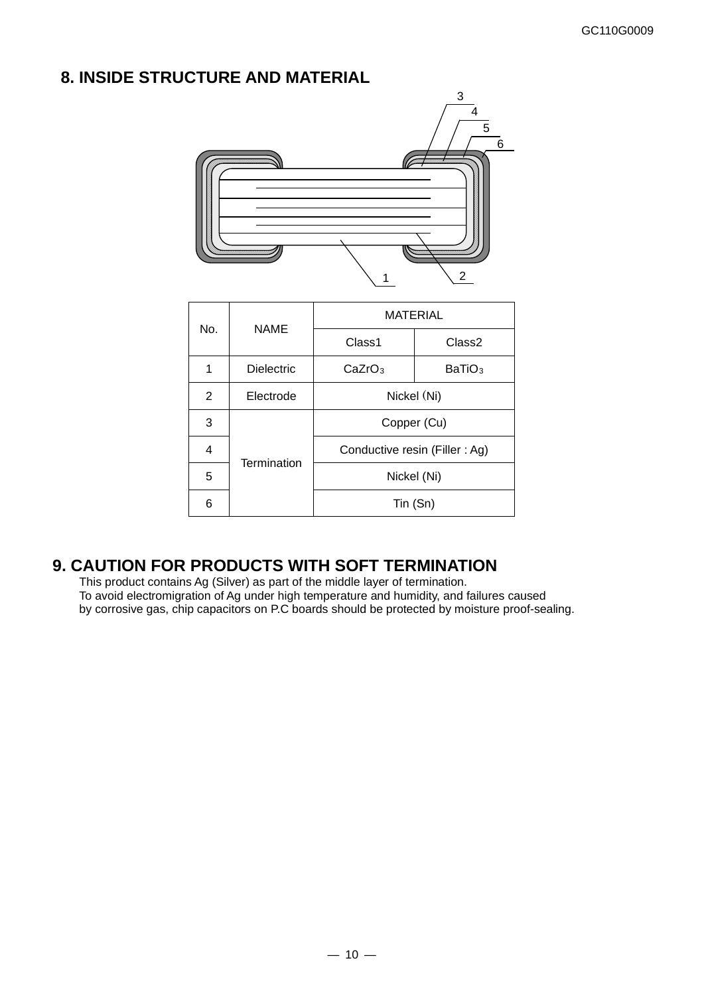## **8. INSIDE STRUCTURE AND MATERIAL**



| No.          | <b>NAME</b>       | <b>MATERIAL</b>                          |                    |  |  |  |
|--------------|-------------------|------------------------------------------|--------------------|--|--|--|
|              |                   | Class1                                   | Class <sub>2</sub> |  |  |  |
| 1            | <b>Dielectric</b> | CaZrO <sub>3</sub><br>BaTiO <sub>3</sub> |                    |  |  |  |
| $\mathbf{2}$ | Electrode         | Nickel (Ni)                              |                    |  |  |  |
| 3            |                   | Copper (Cu)                              |                    |  |  |  |
| 4            | Termination       | Conductive resin (Filler: Ag)            |                    |  |  |  |
| 5            |                   | Nickel (Ni)                              |                    |  |  |  |
| 6            |                   | Tin (Sn)                                 |                    |  |  |  |

## **9. CAUTION FOR PRODUCTS WITH SOFT TERMINATION**

This product contains Ag (Silver) as part of the middle layer of termination. To avoid electromigration of Ag under high temperature and humidity, and failures caused by corrosive gas, chip capacitors on P.C boards should be protected by moisture proof-sealing.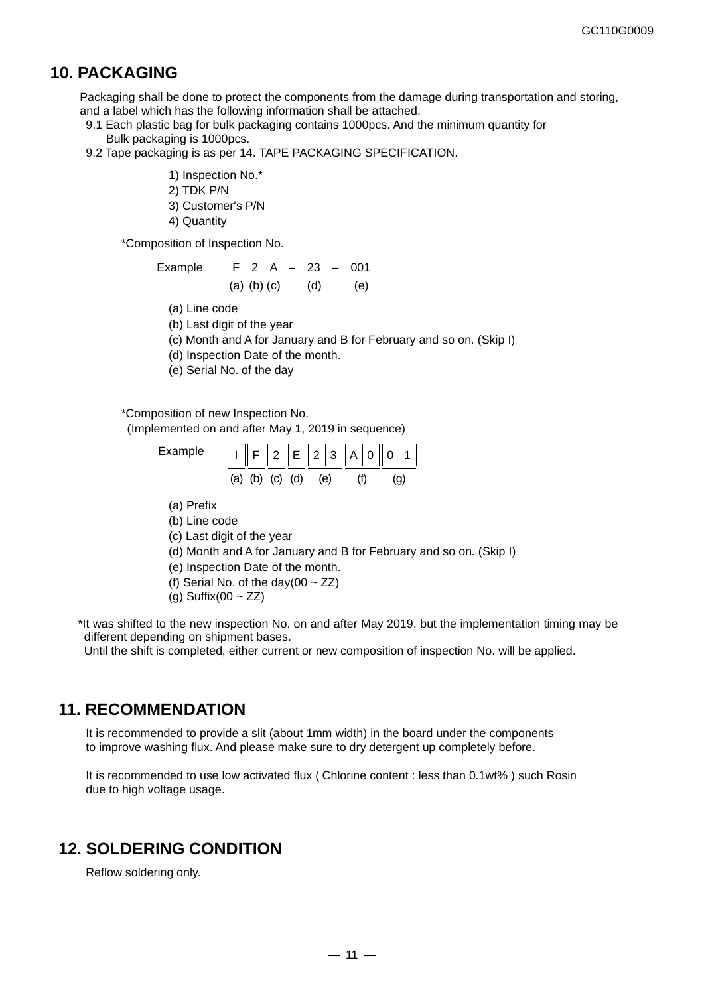## **10. PACKAGING**

Packaging shall be done to protect the components from the damage during transportation and storing, and a label which has the following information shall be attached.

- 9.1 Each plastic bag for bulk packaging contains 1000pcs. And the minimum quantity for Bulk packaging is 1000pcs.
- 9.2 Tape packaging is as per 14. TAPE PACKAGING SPECIFICATION.
	- 1) Inspection No.\*
	- 2) TDK P/N
	- 3) Customer's P/N
	- 4) Quantity

\*Composition of Inspection No.

| Example | F 2 A |                   | $\sim$ |     | $23 - 001$ |
|---------|-------|-------------------|--------|-----|------------|
|         |       | $(a)$ $(b)$ $(c)$ |        | (d) | (e)        |

- (a) Line code
- (b) Last digit of the year

(c) Month and A for January and B for February and so on. (Skip I)

(d) Inspection Date of the month.

(e) Serial No. of the day

#### \*Composition of new Inspection No.

(Implemented on and after May 1, 2019 in sequence)

| Example |     | $       F       2    E       2    A     A     0     1  $ |                 |  |     |  |  |
|---------|-----|----------------------------------------------------------|-----------------|--|-----|--|--|
|         | (a) |                                                          | (b) $(c)$ $(d)$ |  | (e) |  |  |

- (a) Prefix
- (b) Line code
- (c) Last digit of the year
- (d) Month and A for January and B for February and so on. (Skip I)
- (e) Inspection Date of the month.
- (f) Serial No. of the day(00  $\sim$  ZZ)
- (g) Suffix(00  $\sim$  ZZ)

\*It was shifted to the new inspection No. on and after May 2019, but the implementation timing may be different depending on shipment bases.

Until the shift is completed, either current or new composition of inspection No. will be applied.

## **11. RECOMMENDATION**

It is recommended to provide a slit (about 1mm width) in the board under the components to improve washing flux. And please make sure to dry detergent up completely before.

It is recommended to use low activated flux ( Chlorine content : less than 0.1wt% ) such Rosin due to high voltage usage.

## **12. SOLDERING CONDITION**

Reflow soldering only.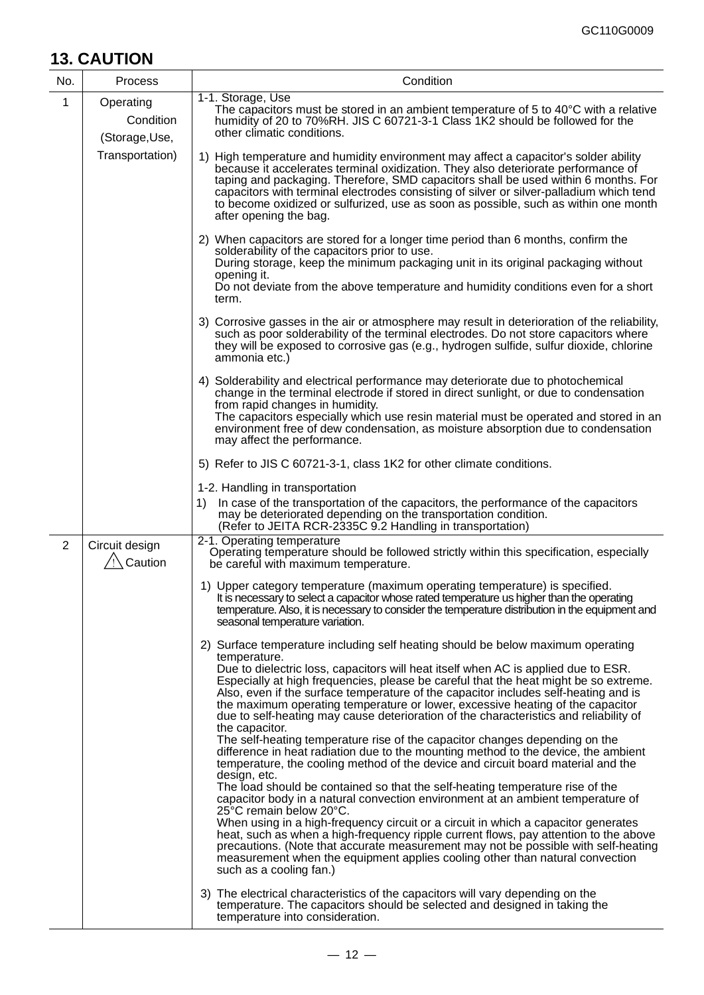## **13. CAUTION**

| No. | <b>Process</b>                           | Condition                                                                                                                                                                                                                                                                                                                                                                                                                                                                                                                                                                                                                                                                                                                                                                                                                                                                                                                                                                                                                                                                                                                                                                                                                                                                                                                                                                                                                                                                                                                                                                               |
|-----|------------------------------------------|-----------------------------------------------------------------------------------------------------------------------------------------------------------------------------------------------------------------------------------------------------------------------------------------------------------------------------------------------------------------------------------------------------------------------------------------------------------------------------------------------------------------------------------------------------------------------------------------------------------------------------------------------------------------------------------------------------------------------------------------------------------------------------------------------------------------------------------------------------------------------------------------------------------------------------------------------------------------------------------------------------------------------------------------------------------------------------------------------------------------------------------------------------------------------------------------------------------------------------------------------------------------------------------------------------------------------------------------------------------------------------------------------------------------------------------------------------------------------------------------------------------------------------------------------------------------------------------------|
| 1   | Operating<br>Condition<br>(Storage, Use, | 1-1. Storage, Use<br>The capacitors must be stored in an ambient temperature of 5 to $40^{\circ}$ C with a relative<br>humidity of 20 to 70%RH. JIS C 60721-3-1 Class 1K2 should be followed for the<br>other climatic conditions.                                                                                                                                                                                                                                                                                                                                                                                                                                                                                                                                                                                                                                                                                                                                                                                                                                                                                                                                                                                                                                                                                                                                                                                                                                                                                                                                                      |
|     | Transportation)                          | 1) High temperature and humidity environment may affect a capacitor's solder ability<br>because it accelerates terminal oxidization. They also deteriorate performance of<br>taping and packaging. Therefore, SMD capacitors shall be used within 6 months. For<br>capacitors with terminal electrodes consisting of silver or silver-palladium which tend<br>to become oxidized or sulfurized, use as soon as possible, such as within one month<br>after opening the bag.                                                                                                                                                                                                                                                                                                                                                                                                                                                                                                                                                                                                                                                                                                                                                                                                                                                                                                                                                                                                                                                                                                             |
|     |                                          | 2) When capacitors are stored for a longer time period than 6 months, confirm the<br>solderability of the capacitors prior to use.<br>During storage, keep the minimum packaging unit in its original packaging without<br>opening it.<br>Do not deviate from the above temperature and humidity conditions even for a short<br>term.                                                                                                                                                                                                                                                                                                                                                                                                                                                                                                                                                                                                                                                                                                                                                                                                                                                                                                                                                                                                                                                                                                                                                                                                                                                   |
|     |                                          | 3) Corrosive gasses in the air or atmosphere may result in deterioration of the reliability,<br>such as poor solderability of the terminal electrodes. Do not store capacitors where<br>they will be exposed to corrosive gas (e.g., hydrogen sulfide, sulfur dioxide, chlorine<br>ammonia etc.)                                                                                                                                                                                                                                                                                                                                                                                                                                                                                                                                                                                                                                                                                                                                                                                                                                                                                                                                                                                                                                                                                                                                                                                                                                                                                        |
|     |                                          | 4) Solderability and electrical performance may deteriorate due to photochemical<br>change in the terminal electrode if stored in direct sunlight, or due to condensation<br>from rapid changes in humidity.<br>The capacitors especially which use resin material must be operated and stored in an<br>environment free of dew condensation, as moisture absorption due to condensation<br>may affect the performance.                                                                                                                                                                                                                                                                                                                                                                                                                                                                                                                                                                                                                                                                                                                                                                                                                                                                                                                                                                                                                                                                                                                                                                 |
|     |                                          | 5) Refer to JIS C 60721-3-1, class 1K2 for other climate conditions.                                                                                                                                                                                                                                                                                                                                                                                                                                                                                                                                                                                                                                                                                                                                                                                                                                                                                                                                                                                                                                                                                                                                                                                                                                                                                                                                                                                                                                                                                                                    |
|     |                                          | 1-2. Handling in transportation<br>In case of the transportation of the capacitors, the performance of the capacitors<br>1)<br>may be deteriorated depending on the transportation condition.<br>(Refer to JEITA RCR-2335C 9.2 Handling in transportation)                                                                                                                                                                                                                                                                                                                                                                                                                                                                                                                                                                                                                                                                                                                                                                                                                                                                                                                                                                                                                                                                                                                                                                                                                                                                                                                              |
| 2   | Circuit design<br>$\sqrt{2}$ Caution     | 2-1. Operating temperature<br>Operating temperature should be followed strictly within this specification, especially<br>be careful with maximum temperature.                                                                                                                                                                                                                                                                                                                                                                                                                                                                                                                                                                                                                                                                                                                                                                                                                                                                                                                                                                                                                                                                                                                                                                                                                                                                                                                                                                                                                           |
|     |                                          | 1) Upper category temperature (maximum operating temperature) is specified.<br>It is necessary to select a capacitor whose rated temperature us higher than the operating<br>temperature. Also, it is necessary to consider the temperature distribution in the equipment and<br>seasonal temperature variation.                                                                                                                                                                                                                                                                                                                                                                                                                                                                                                                                                                                                                                                                                                                                                                                                                                                                                                                                                                                                                                                                                                                                                                                                                                                                        |
|     |                                          | 2) Surface temperature including self heating should be below maximum operating<br>temperature.<br>Due to dielectric loss, capacitors will heat itself when AC is applied due to ESR.<br>Especially at high frequencies, please be careful that the heat might be so extreme.<br>Also, even if the surface temperature of the capacitor includes self-heating and is<br>the maximum operating temperature or lower, excessive heating of the capacitor<br>due to self-heating may cause deterioration of the characteristics and reliability of<br>the capacitor.<br>The self-heating temperature rise of the capacitor changes depending on the<br>difference in heat radiation due to the mounting method to the device, the ambient<br>temperature, the cooling method of the device and circuit board material and the<br>design, etc.<br>The load should be contained so that the self-heating temperature rise of the<br>capacitor body in a natural convection environment at an ambient temperature of<br>25°C remain below 20°C.<br>When using in a high-frequency circuit or a circuit in which a capacitor generates<br>heat, such as when a high-frequency ripple current flows, pay attention to the above<br>precautions. (Note that accurate measurement may not be possible with self-heating<br>measurement when the equipment applies cooling other than natural convection<br>such as a cooling fan.)<br>3) The electrical characteristics of the capacitors will vary depending on the<br>temperature. The capacitors should be selected and designed in taking the |
|     |                                          | temperature into consideration.                                                                                                                                                                                                                                                                                                                                                                                                                                                                                                                                                                                                                                                                                                                                                                                                                                                                                                                                                                                                                                                                                                                                                                                                                                                                                                                                                                                                                                                                                                                                                         |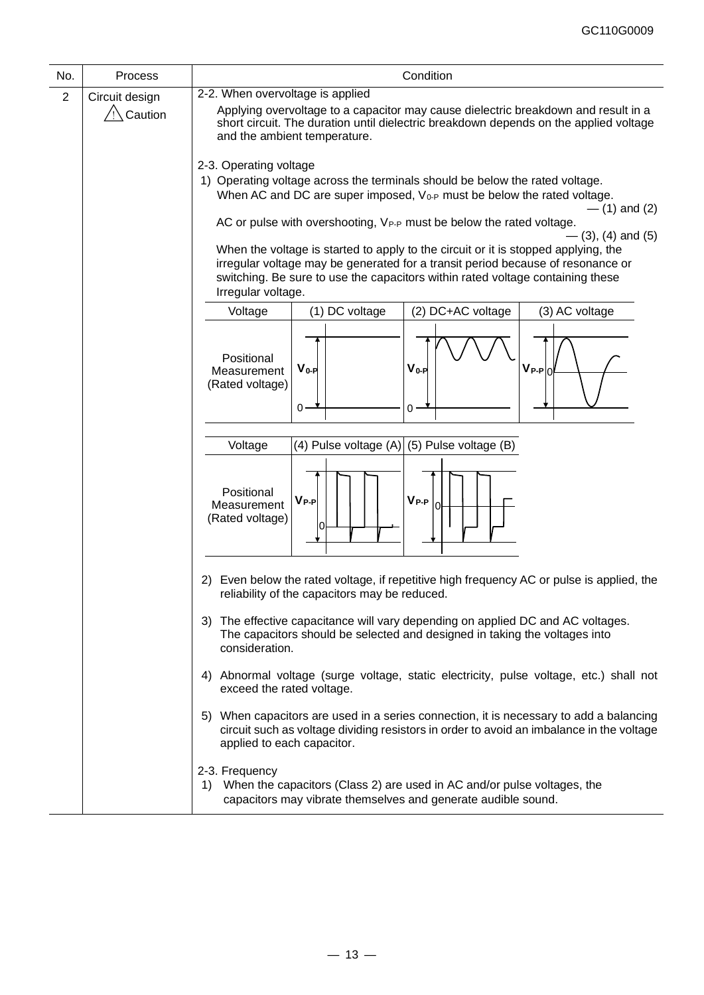| No.            | Process            | Condition                                                                                                                                                                                                                                                                                             |  |  |  |  |  |
|----------------|--------------------|-------------------------------------------------------------------------------------------------------------------------------------------------------------------------------------------------------------------------------------------------------------------------------------------------------|--|--|--|--|--|
| $\overline{2}$ | Circuit design     | 2-2. When overvoltage is applied                                                                                                                                                                                                                                                                      |  |  |  |  |  |
|                | $\sqrt{2}$ Caution | Applying overvoltage to a capacitor may cause dielectric breakdown and result in a<br>short circuit. The duration until dielectric breakdown depends on the applied voltage<br>and the ambient temperature.                                                                                           |  |  |  |  |  |
|                |                    | 2-3. Operating voltage                                                                                                                                                                                                                                                                                |  |  |  |  |  |
|                |                    | 1) Operating voltage across the terminals should be below the rated voltage.                                                                                                                                                                                                                          |  |  |  |  |  |
|                |                    | When AC and DC are super imposed, V <sub>0-P</sub> must be below the rated voltage.                                                                                                                                                                                                                   |  |  |  |  |  |
|                |                    | $-$ (1) and (2)<br>AC or pulse with overshooting, V <sub>P-P</sub> must be below the rated voltage.                                                                                                                                                                                                   |  |  |  |  |  |
|                |                    | $-$ (3), (4) and (5)<br>When the voltage is started to apply to the circuit or it is stopped applying, the<br>irregular voltage may be generated for a transit period because of resonance or<br>switching. Be sure to use the capacitors within rated voltage containing these<br>Irregular voltage. |  |  |  |  |  |
|                |                    | (1) DC voltage<br>(2) DC+AC voltage<br>(3) AC voltage<br>Voltage                                                                                                                                                                                                                                      |  |  |  |  |  |
|                |                    | Positional<br>$V_{0-P}$<br>$\mathsf{V}_{\mathsf{P-P}}$<br>$V_{0-P}$<br>Measurement<br>l0<br>(Rated voltage)<br>$0 -$<br>0                                                                                                                                                                             |  |  |  |  |  |
|                |                    | (4) Pulse voltage $(A)$ (5) Pulse voltage (B)<br>Voltage                                                                                                                                                                                                                                              |  |  |  |  |  |
|                |                    | Positional<br>$V_{P-P}$<br>$V_{P-P}$<br>Measurement<br>(Rated voltage)                                                                                                                                                                                                                                |  |  |  |  |  |
|                |                    | 2) Even below the rated voltage, if repetitive high frequency AC or pulse is applied, the<br>reliability of the capacitors may be reduced.                                                                                                                                                            |  |  |  |  |  |
|                |                    | The effective capacitance will vary depending on applied DC and AC voltages.<br>3)<br>The capacitors should be selected and designed in taking the voltages into<br>consideration.                                                                                                                    |  |  |  |  |  |
|                |                    | Abnormal voltage (surge voltage, static electricity, pulse voltage, etc.) shall not<br>4)<br>exceed the rated voltage.                                                                                                                                                                                |  |  |  |  |  |
|                |                    | 5) When capacitors are used in a series connection, it is necessary to add a balancing<br>circuit such as voltage dividing resistors in order to avoid an imbalance in the voltage<br>applied to each capacitor.                                                                                      |  |  |  |  |  |
|                |                    | 2-3. Frequency<br>When the capacitors (Class 2) are used in AC and/or pulse voltages, the<br>1)<br>capacitors may vibrate themselves and generate audible sound.                                                                                                                                      |  |  |  |  |  |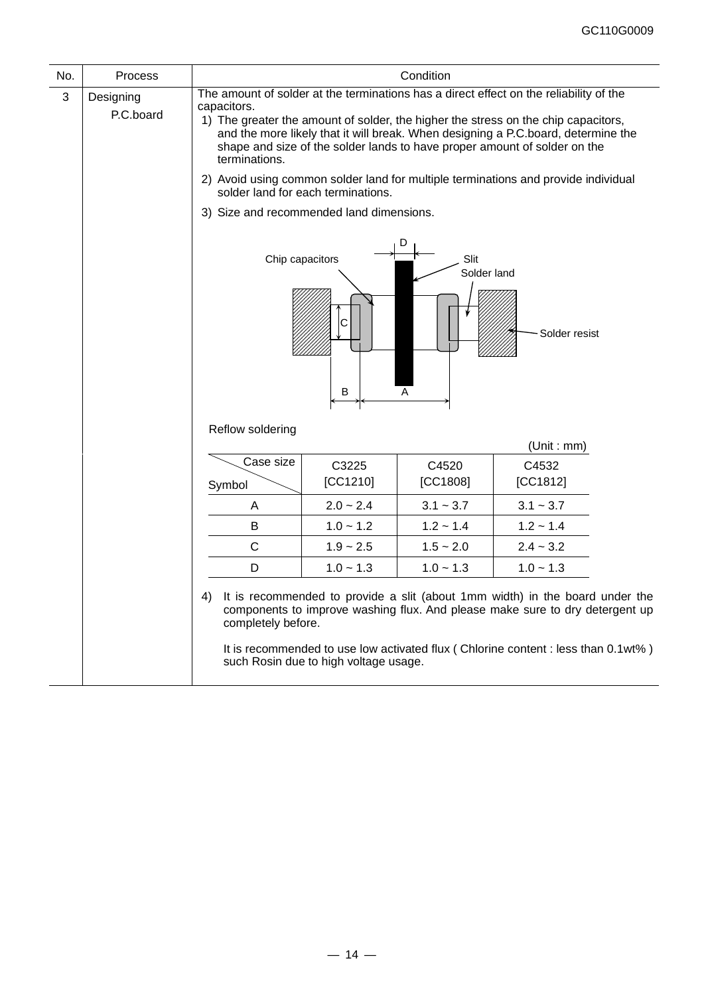| No.                                                        | <b>Process</b>         |                                                                                                                                                                                                                                                                                                                                                                                |                                       | Condition         |                                                                                                                                                                                                                                                   |  |
|------------------------------------------------------------|------------------------|--------------------------------------------------------------------------------------------------------------------------------------------------------------------------------------------------------------------------------------------------------------------------------------------------------------------------------------------------------------------------------|---------------------------------------|-------------------|---------------------------------------------------------------------------------------------------------------------------------------------------------------------------------------------------------------------------------------------------|--|
| 3                                                          | Designing<br>P.C.board | The amount of solder at the terminations has a direct effect on the reliability of the<br>capacitors.<br>1) The greater the amount of solder, the higher the stress on the chip capacitors,<br>and the more likely that it will break. When designing a P.C.board, determine the<br>shape and size of the solder lands to have proper amount of solder on the<br>terminations. |                                       |                   |                                                                                                                                                                                                                                                   |  |
|                                                            |                        | 2) Avoid using common solder land for multiple terminations and provide individual<br>solder land for each terminations.                                                                                                                                                                                                                                                       |                                       |                   |                                                                                                                                                                                                                                                   |  |
|                                                            |                        | 3) Size and recommended land dimensions.                                                                                                                                                                                                                                                                                                                                       |                                       |                   |                                                                                                                                                                                                                                                   |  |
| D<br>Slit<br>Chip capacitors<br>Solder land<br>C<br>в<br>Α |                        |                                                                                                                                                                                                                                                                                                                                                                                |                                       |                   | Solder resist                                                                                                                                                                                                                                     |  |
|                                                            |                        | Reflow soldering                                                                                                                                                                                                                                                                                                                                                               |                                       |                   | (Unit : mm)                                                                                                                                                                                                                                       |  |
|                                                            |                        | Case size<br>Symbol                                                                                                                                                                                                                                                                                                                                                            | C3225<br>[CC1210]                     | C4520<br>[CC1808] | C4532<br>[CC1812]                                                                                                                                                                                                                                 |  |
|                                                            |                        | Α                                                                                                                                                                                                                                                                                                                                                                              | $2.0 - 2.4$                           | $3.1 - 3.7$       | $3.1 - 3.7$                                                                                                                                                                                                                                       |  |
|                                                            |                        | B                                                                                                                                                                                                                                                                                                                                                                              | $1.0 - 1.2$                           | $1.2 - 1.4$       | $1.2 - 1.4$                                                                                                                                                                                                                                       |  |
|                                                            |                        | $\mathsf C$                                                                                                                                                                                                                                                                                                                                                                    | $1.9 - 2.5$                           | $1.5 - 2.0$       | $2.4 - 3.2$                                                                                                                                                                                                                                       |  |
|                                                            |                        | D                                                                                                                                                                                                                                                                                                                                                                              | $1.0 - 1.3$                           | $1.0 - 1.3$       | $1.0 - 1.3$                                                                                                                                                                                                                                       |  |
|                                                            |                        | 4)<br>completely before.                                                                                                                                                                                                                                                                                                                                                       | such Rosin due to high voltage usage. |                   | It is recommended to provide a slit (about 1mm width) in the board under the<br>components to improve washing flux. And please make sure to dry detergent up<br>It is recommended to use low activated flux (Chlorine content : less than 0.1wt%) |  |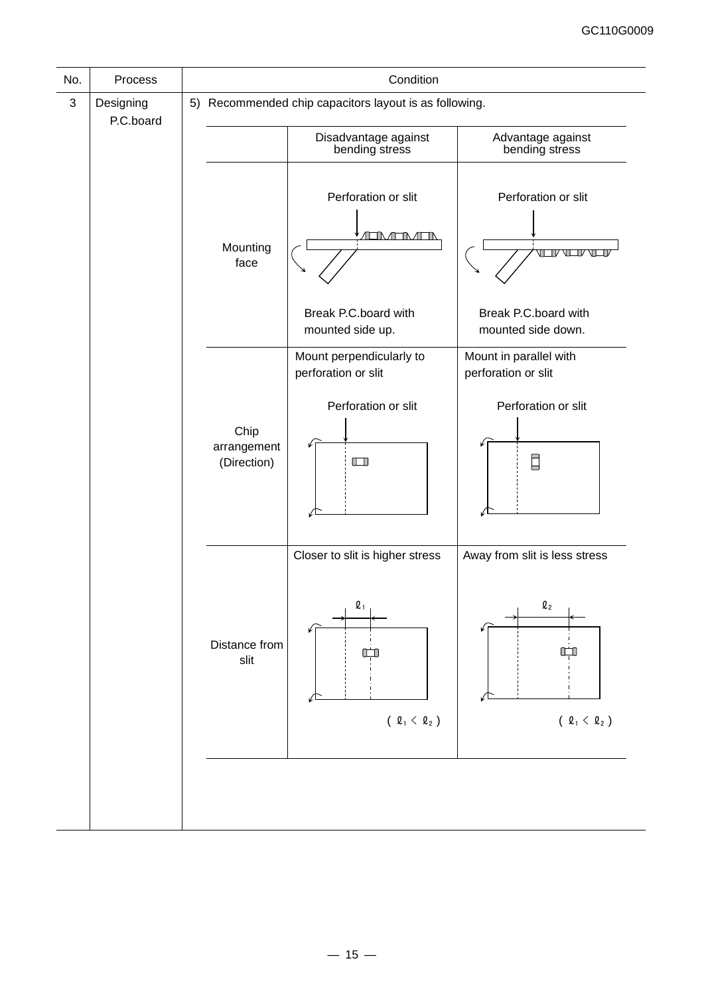| No.          | Process                |                                    | Condition                                                            |                                                                 |
|--------------|------------------------|------------------------------------|----------------------------------------------------------------------|-----------------------------------------------------------------|
| $\mathbf{3}$ | Designing<br>P.C.board |                                    | 5) Recommended chip capacitors layout is as following.               |                                                                 |
|              |                        |                                    | Disadvantage against<br>bending stress                               | Advantage against<br>bending stress                             |
|              |                        | Mounting<br>face                   | Perforation or slit<br><b>ALIMATIMATIN</b>                           | Perforation or slit<br>$TV$ $V$                                 |
|              |                        |                                    | Break P.C.board with<br>mounted side up.                             | Break P.C.board with<br>mounted side down.                      |
|              |                        |                                    | Mount perpendicularly to<br>perforation or slit                      | Mount in parallel with<br>perforation or slit                   |
|              |                        | Chip<br>arrangement<br>(Direction) | Perforation or slit<br>$\Box$                                        | Perforation or slit<br>Ξ                                        |
|              |                        | Distance from<br>slit              | Closer to slit is higher stress<br>$\mathbf{\ell}_1$<br>(2, 4, 4, 2) | Away from slit is less stress<br>$\mathbf{Q}_2$<br>(2, 4, 4, 2) |
|              |                        |                                    |                                                                      |                                                                 |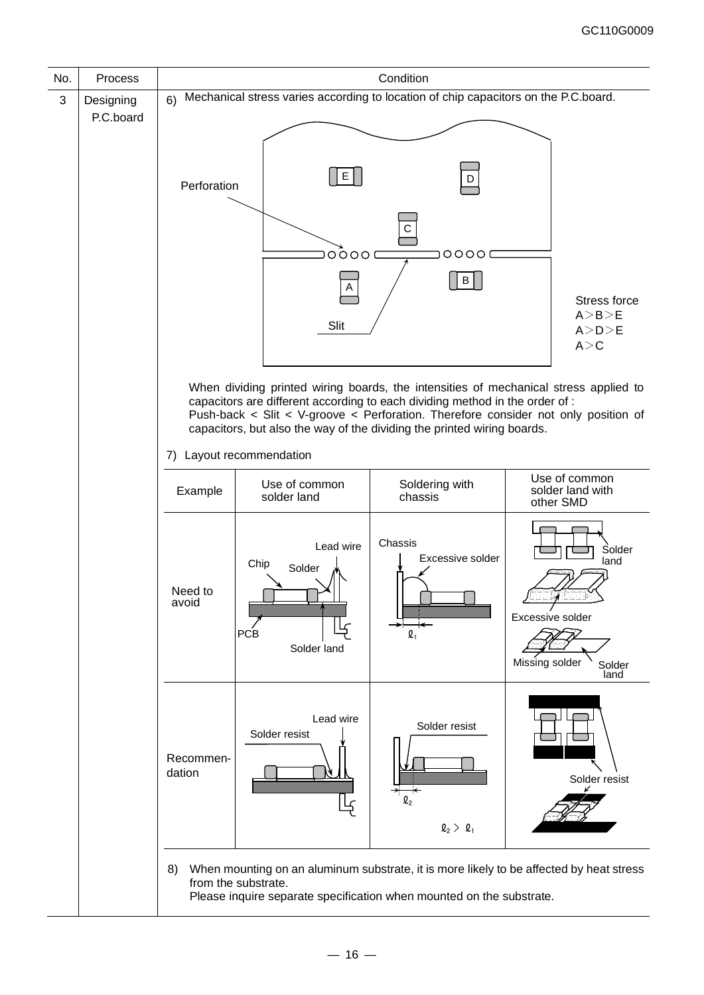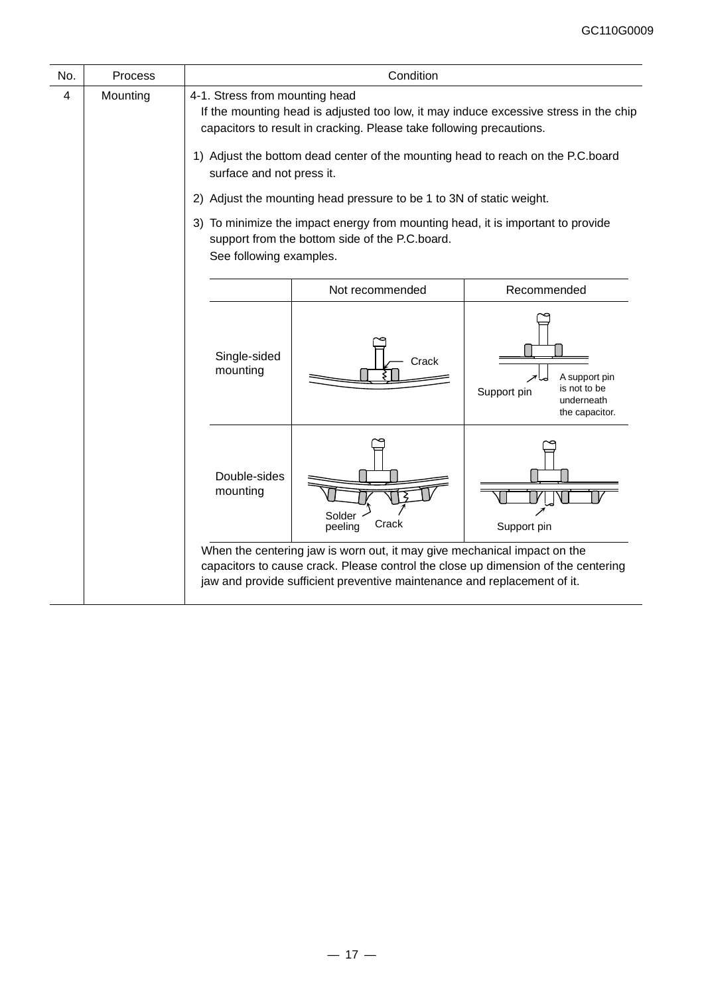| No. | Process  | Condition                                                                                                                                                                                                                                                                                                      |                                                                                                                                                                                                                                           |                                                                                                          |  |  |  |
|-----|----------|----------------------------------------------------------------------------------------------------------------------------------------------------------------------------------------------------------------------------------------------------------------------------------------------------------------|-------------------------------------------------------------------------------------------------------------------------------------------------------------------------------------------------------------------------------------------|----------------------------------------------------------------------------------------------------------|--|--|--|
| 4   | Mounting | 4-1. Stress from mounting head<br>If the mounting head is adjusted too low, it may induce excessive stress in the chip<br>capacitors to result in cracking. Please take following precautions.<br>1) Adjust the bottom dead center of the mounting head to reach on the P.C.board<br>surface and not press it. |                                                                                                                                                                                                                                           |                                                                                                          |  |  |  |
|     |          |                                                                                                                                                                                                                                                                                                                | 2) Adjust the mounting head pressure to be 1 to 3N of static weight.                                                                                                                                                                      |                                                                                                          |  |  |  |
|     |          | See following examples.                                                                                                                                                                                                                                                                                        | 3) To minimize the impact energy from mounting head, it is important to provide<br>support from the bottom side of the P.C.board.                                                                                                         |                                                                                                          |  |  |  |
|     |          | Not recommended<br>Recommended                                                                                                                                                                                                                                                                                 |                                                                                                                                                                                                                                           |                                                                                                          |  |  |  |
|     |          | Single-sided<br>mounting                                                                                                                                                                                                                                                                                       | Crack                                                                                                                                                                                                                                     | A support pin<br>$\overline{\mathscr{A}}$<br>is not to be<br>Support pin<br>underneath<br>the capacitor. |  |  |  |
|     |          | Double-sides<br>mounting                                                                                                                                                                                                                                                                                       | Solder<br>Crack<br>peeling                                                                                                                                                                                                                | Support pin                                                                                              |  |  |  |
|     |          |                                                                                                                                                                                                                                                                                                                | When the centering jaw is worn out, it may give mechanical impact on the<br>capacitors to cause crack. Please control the close up dimension of the centering<br>jaw and provide sufficient preventive maintenance and replacement of it. |                                                                                                          |  |  |  |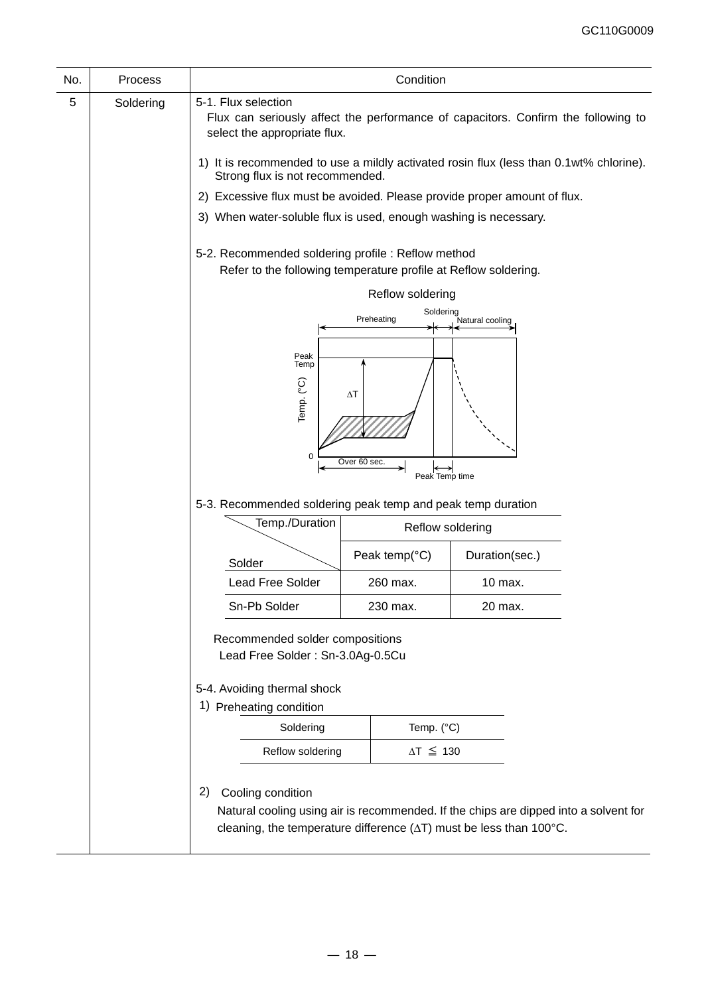| No. | <b>Process</b> |                                                                                                                                          | Condition                      |                                                                                      |  |  |  |  |
|-----|----------------|------------------------------------------------------------------------------------------------------------------------------------------|--------------------------------|--------------------------------------------------------------------------------------|--|--|--|--|
| 5   | Soldering      | 5-1. Flux selection<br>Flux can seriously affect the performance of capacitors. Confirm the following to<br>select the appropriate flux. |                                |                                                                                      |  |  |  |  |
|     |                | 1) It is recommended to use a mildly activated rosin flux (less than 0.1wt% chlorine).<br>Strong flux is not recommended.                |                                |                                                                                      |  |  |  |  |
|     |                | 2) Excessive flux must be avoided. Please provide proper amount of flux.                                                                 |                                |                                                                                      |  |  |  |  |
|     |                | 3) When water-soluble flux is used, enough washing is necessary.                                                                         |                                |                                                                                      |  |  |  |  |
|     |                | 5-2. Recommended soldering profile : Reflow method<br>Refer to the following temperature profile at Reflow soldering.                    |                                |                                                                                      |  |  |  |  |
|     |                |                                                                                                                                          | Reflow soldering               |                                                                                      |  |  |  |  |
|     |                |                                                                                                                                          | Soldering<br>Preheating        | Natural cooling                                                                      |  |  |  |  |
|     |                |                                                                                                                                          |                                |                                                                                      |  |  |  |  |
|     |                | Peak<br>Temp<br>Temp. (°C)<br>0                                                                                                          | $\Delta T$                     |                                                                                      |  |  |  |  |
|     |                |                                                                                                                                          | Over 60 sec.<br>Peak Temp time |                                                                                      |  |  |  |  |
|     |                | 5-3. Recommended soldering peak temp and peak temp duration                                                                              |                                |                                                                                      |  |  |  |  |
|     |                | Temp./Duration                                                                                                                           | Reflow soldering               |                                                                                      |  |  |  |  |
|     |                | Solder                                                                                                                                   | Peak temp( $°C$ )              | Duration(sec.)                                                                       |  |  |  |  |
|     |                | <b>Lead Free Solder</b>                                                                                                                  | 260 max.                       | 10 max.                                                                              |  |  |  |  |
|     |                | Sn-Pb Solder                                                                                                                             | 230 max.                       | 20 max.                                                                              |  |  |  |  |
|     |                | Recommended solder compositions<br>Lead Free Solder: Sn-3.0Ag-0.5Cu                                                                      |                                |                                                                                      |  |  |  |  |
|     |                | 5-4. Avoiding thermal shock                                                                                                              |                                |                                                                                      |  |  |  |  |
|     |                | 1) Preheating condition                                                                                                                  |                                |                                                                                      |  |  |  |  |
|     |                | Soldering                                                                                                                                | Temp. (°C)                     |                                                                                      |  |  |  |  |
|     |                | Reflow soldering                                                                                                                         | $\Delta T \leq 130$            |                                                                                      |  |  |  |  |
|     |                | Cooling condition<br>2)<br>cleaning, the temperature difference $(\Delta T)$ must be less than 100°C.                                    |                                | Natural cooling using air is recommended. If the chips are dipped into a solvent for |  |  |  |  |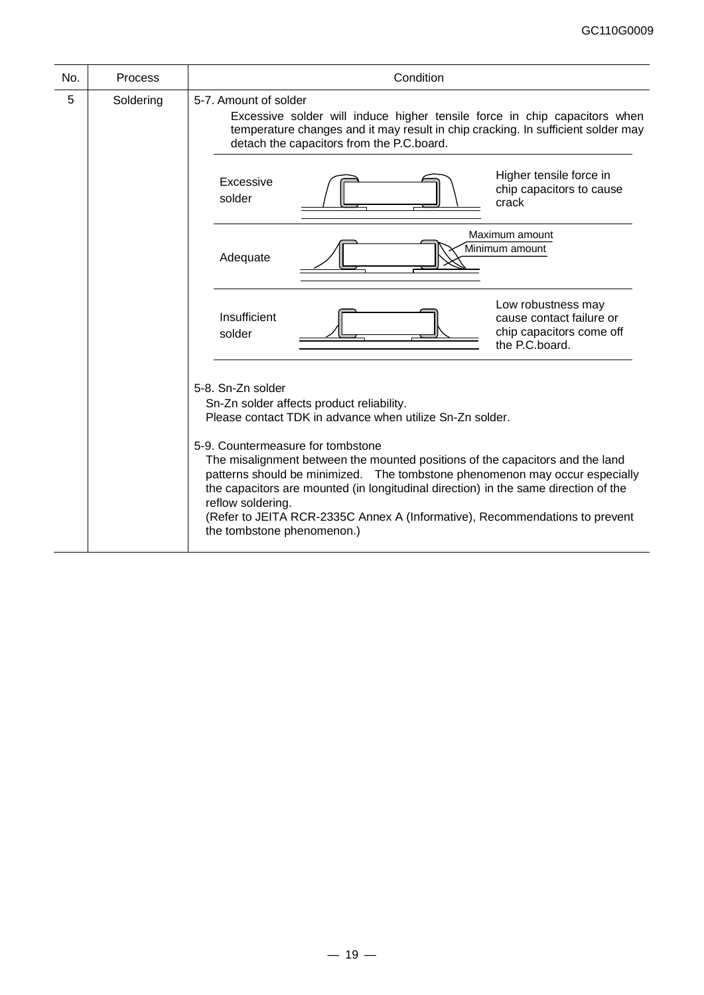| No. | <b>Process</b> | Condition                                                                                                                                                                                                                                                                                                                                                                                                                                                                                                                                                 |
|-----|----------------|-----------------------------------------------------------------------------------------------------------------------------------------------------------------------------------------------------------------------------------------------------------------------------------------------------------------------------------------------------------------------------------------------------------------------------------------------------------------------------------------------------------------------------------------------------------|
| 5   | Soldering      | 5-7. Amount of solder<br>Excessive solder will induce higher tensile force in chip capacitors when<br>temperature changes and it may result in chip cracking. In sufficient solder may<br>detach the capacitors from the P.C.board.                                                                                                                                                                                                                                                                                                                       |
|     |                | Higher tensile force in<br>Excessive<br>chip capacitors to cause<br>solder<br>crack                                                                                                                                                                                                                                                                                                                                                                                                                                                                       |
|     |                | Maximum amount<br>Minimum amount<br>Adequate                                                                                                                                                                                                                                                                                                                                                                                                                                                                                                              |
|     |                | Low robustness may<br>Insufficient<br>cause contact failure or<br>chip capacitors come off<br>solder<br>the P.C.board.                                                                                                                                                                                                                                                                                                                                                                                                                                    |
|     |                | 5-8. Sn-Zn solder<br>Sn-Zn solder affects product reliability.<br>Please contact TDK in advance when utilize Sn-Zn solder.<br>5-9. Countermeasure for tombstone<br>The misalignment between the mounted positions of the capacitors and the land<br>patterns should be minimized.  The tombstone phenomenon may occur especially<br>the capacitors are mounted (in longitudinal direction) in the same direction of the<br>reflow soldering.<br>(Refer to JEITA RCR-2335C Annex A (Informative), Recommendations to prevent<br>the tombstone phenomenon.) |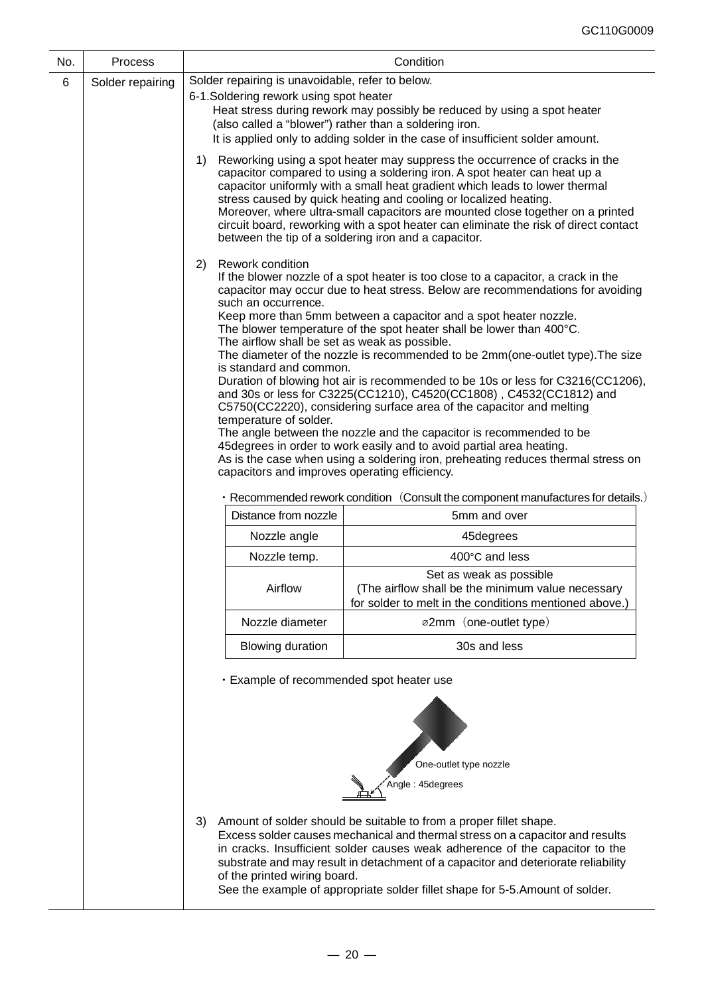| No.   | Process                                                                                                                                                                                                                                                                                                                                                                                                                                         | Condition                                                                        |                                                                                                                                                                                                                                                                                                                                                                                                                                                                                                                                                                                                                                                                                                                                                                                                                                                                                                                                                                                                      |  |  |  |  |
|-------|-------------------------------------------------------------------------------------------------------------------------------------------------------------------------------------------------------------------------------------------------------------------------------------------------------------------------------------------------------------------------------------------------------------------------------------------------|----------------------------------------------------------------------------------|------------------------------------------------------------------------------------------------------------------------------------------------------------------------------------------------------------------------------------------------------------------------------------------------------------------------------------------------------------------------------------------------------------------------------------------------------------------------------------------------------------------------------------------------------------------------------------------------------------------------------------------------------------------------------------------------------------------------------------------------------------------------------------------------------------------------------------------------------------------------------------------------------------------------------------------------------------------------------------------------------|--|--|--|--|
| $\,6$ | Solder repairing                                                                                                                                                                                                                                                                                                                                                                                                                                | Solder repairing is unavoidable, refer to below.                                 |                                                                                                                                                                                                                                                                                                                                                                                                                                                                                                                                                                                                                                                                                                                                                                                                                                                                                                                                                                                                      |  |  |  |  |
|       |                                                                                                                                                                                                                                                                                                                                                                                                                                                 | 6-1. Soldering rework using spot heater                                          | Heat stress during rework may possibly be reduced by using a spot heater<br>(also called a "blower") rather than a soldering iron.<br>It is applied only to adding solder in the case of insufficient solder amount.                                                                                                                                                                                                                                                                                                                                                                                                                                                                                                                                                                                                                                                                                                                                                                                 |  |  |  |  |
|       |                                                                                                                                                                                                                                                                                                                                                                                                                                                 | 1)                                                                               | Reworking using a spot heater may suppress the occurrence of cracks in the<br>capacitor compared to using a soldering iron. A spot heater can heat up a<br>capacitor uniformly with a small heat gradient which leads to lower thermal<br>stress caused by quick heating and cooling or localized heating.<br>Moreover, where ultra-small capacitors are mounted close together on a printed<br>circuit board, reworking with a spot heater can eliminate the risk of direct contact<br>between the tip of a soldering iron and a capacitor.                                                                                                                                                                                                                                                                                                                                                                                                                                                         |  |  |  |  |
|       |                                                                                                                                                                                                                                                                                                                                                                                                                                                 | Rework condition<br>(2)<br>such an occurrence.<br>temperature of solder.         | If the blower nozzle of a spot heater is too close to a capacitor, a crack in the<br>capacitor may occur due to heat stress. Below are recommendations for avoiding<br>Keep more than 5mm between a capacitor and a spot heater nozzle.<br>The blower temperature of the spot heater shall be lower than 400°C.<br>The airflow shall be set as weak as possible.<br>The diameter of the nozzle is recommended to be 2mm(one-outlet type). The size<br>is standard and common.<br>Duration of blowing hot air is recommended to be 10s or less for C3216(CC1206),<br>and 30s or less for C3225(CC1210), C4520(CC1808), C4532(CC1812) and<br>C5750(CC2220), considering surface area of the capacitor and melting<br>The angle between the nozzle and the capacitor is recommended to be<br>45 degrees in order to work easily and to avoid partial area heating.<br>As is the case when using a soldering iron, preheating reduces thermal stress on<br>capacitors and improves operating efficiency. |  |  |  |  |
|       |                                                                                                                                                                                                                                                                                                                                                                                                                                                 | • Recommended rework condition (Consult the component manufactures for details.) |                                                                                                                                                                                                                                                                                                                                                                                                                                                                                                                                                                                                                                                                                                                                                                                                                                                                                                                                                                                                      |  |  |  |  |
|       |                                                                                                                                                                                                                                                                                                                                                                                                                                                 | Distance from nozzle                                                             | 5mm and over                                                                                                                                                                                                                                                                                                                                                                                                                                                                                                                                                                                                                                                                                                                                                                                                                                                                                                                                                                                         |  |  |  |  |
|       |                                                                                                                                                                                                                                                                                                                                                                                                                                                 | Nozzle angle                                                                     | 45degrees                                                                                                                                                                                                                                                                                                                                                                                                                                                                                                                                                                                                                                                                                                                                                                                                                                                                                                                                                                                            |  |  |  |  |
|       |                                                                                                                                                                                                                                                                                                                                                                                                                                                 | Nozzle temp.                                                                     | 400°C and less                                                                                                                                                                                                                                                                                                                                                                                                                                                                                                                                                                                                                                                                                                                                                                                                                                                                                                                                                                                       |  |  |  |  |
|       |                                                                                                                                                                                                                                                                                                                                                                                                                                                 | Airflow                                                                          | Set as weak as possible<br>(The airflow shall be the minimum value necessary<br>for solder to melt in the conditions mentioned above.)                                                                                                                                                                                                                                                                                                                                                                                                                                                                                                                                                                                                                                                                                                                                                                                                                                                               |  |  |  |  |
|       |                                                                                                                                                                                                                                                                                                                                                                                                                                                 | Nozzle diameter                                                                  | ø2mm (one-outlet type)                                                                                                                                                                                                                                                                                                                                                                                                                                                                                                                                                                                                                                                                                                                                                                                                                                                                                                                                                                               |  |  |  |  |
|       |                                                                                                                                                                                                                                                                                                                                                                                                                                                 | <b>Blowing duration</b>                                                          | 30s and less                                                                                                                                                                                                                                                                                                                                                                                                                                                                                                                                                                                                                                                                                                                                                                                                                                                                                                                                                                                         |  |  |  |  |
|       |                                                                                                                                                                                                                                                                                                                                                                                                                                                 | · Example of recommended spot heater use                                         |                                                                                                                                                                                                                                                                                                                                                                                                                                                                                                                                                                                                                                                                                                                                                                                                                                                                                                                                                                                                      |  |  |  |  |
|       |                                                                                                                                                                                                                                                                                                                                                                                                                                                 | One-outlet type nozzle<br>Angle: 45degrees                                       |                                                                                                                                                                                                                                                                                                                                                                                                                                                                                                                                                                                                                                                                                                                                                                                                                                                                                                                                                                                                      |  |  |  |  |
|       | Amount of solder should be suitable to from a proper fillet shape.<br>3)<br>Excess solder causes mechanical and thermal stress on a capacitor and results<br>in cracks. Insufficient solder causes weak adherence of the capacitor to the<br>substrate and may result in detachment of a capacitor and deteriorate reliability<br>of the printed wiring board.<br>See the example of appropriate solder fillet shape for 5-5. Amount of solder. |                                                                                  |                                                                                                                                                                                                                                                                                                                                                                                                                                                                                                                                                                                                                                                                                                                                                                                                                                                                                                                                                                                                      |  |  |  |  |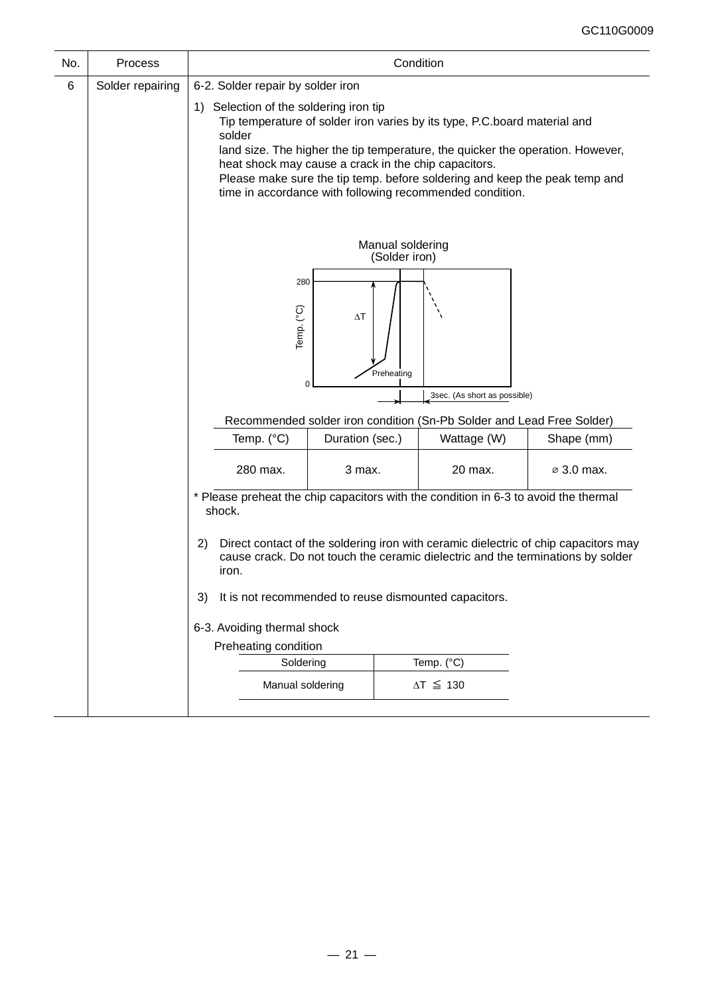| No. | Process          |                                                                                                                                                                                       |                                                                                                                                                                                                                                                                                                                                                                                                         | Condition                         |                     |            |
|-----|------------------|---------------------------------------------------------------------------------------------------------------------------------------------------------------------------------------|---------------------------------------------------------------------------------------------------------------------------------------------------------------------------------------------------------------------------------------------------------------------------------------------------------------------------------------------------------------------------------------------------------|-----------------------------------|---------------------|------------|
| 6   | Solder repairing | 6-2. Solder repair by solder iron                                                                                                                                                     |                                                                                                                                                                                                                                                                                                                                                                                                         |                                   |                     |            |
|     |                  | solder                                                                                                                                                                                | 1) Selection of the soldering iron tip<br>Tip temperature of solder iron varies by its type, P.C.board material and<br>land size. The higher the tip temperature, the quicker the operation. However,<br>heat shock may cause a crack in the chip capacitors.<br>Please make sure the tip temp. before soldering and keep the peak temp and<br>time in accordance with following recommended condition. |                                   |                     |            |
|     |                  |                                                                                                                                                                                       |                                                                                                                                                                                                                                                                                                                                                                                                         | Manual soldering<br>(Solder iron) |                     |            |
|     |                  | 280<br>Temp. (°C)                                                                                                                                                                     | $\Delta T$                                                                                                                                                                                                                                                                                                                                                                                              | Preheating                        |                     |            |
|     |                  | 0<br>3sec. (As short as possible)                                                                                                                                                     |                                                                                                                                                                                                                                                                                                                                                                                                         |                                   |                     |            |
|     |                  | Recommended solder iron condition (Sn-Pb Solder and Lead Free Solder)                                                                                                                 |                                                                                                                                                                                                                                                                                                                                                                                                         |                                   |                     |            |
|     |                  | Temp. (°C)                                                                                                                                                                            | Duration (sec.)<br>Wattage (W)                                                                                                                                                                                                                                                                                                                                                                          |                                   |                     | Shape (mm) |
|     |                  | 280 max.                                                                                                                                                                              | 3 max.                                                                                                                                                                                                                                                                                                                                                                                                  |                                   | 20 max.             | ⊘ 3.0 max. |
|     |                  | * Please preheat the chip capacitors with the condition in 6-3 to avoid the thermal<br>shock.                                                                                         |                                                                                                                                                                                                                                                                                                                                                                                                         |                                   |                     |            |
|     |                  | Direct contact of the soldering iron with ceramic dielectric of chip capacitors may<br>2)<br>cause crack. Do not touch the ceramic dielectric and the terminations by solder<br>iron. |                                                                                                                                                                                                                                                                                                                                                                                                         |                                   |                     |            |
|     |                  | It is not recommended to reuse dismounted capacitors.<br>3)                                                                                                                           |                                                                                                                                                                                                                                                                                                                                                                                                         |                                   |                     |            |
|     |                  | 6-3. Avoiding thermal shock                                                                                                                                                           |                                                                                                                                                                                                                                                                                                                                                                                                         |                                   |                     |            |
|     |                  | Preheating condition                                                                                                                                                                  |                                                                                                                                                                                                                                                                                                                                                                                                         |                                   |                     |            |
|     |                  | Soldering                                                                                                                                                                             |                                                                                                                                                                                                                                                                                                                                                                                                         |                                   | Temp. (°C)          |            |
|     |                  | Manual soldering                                                                                                                                                                      |                                                                                                                                                                                                                                                                                                                                                                                                         |                                   | $\Delta T \leq 130$ |            |
|     |                  |                                                                                                                                                                                       |                                                                                                                                                                                                                                                                                                                                                                                                         |                                   |                     |            |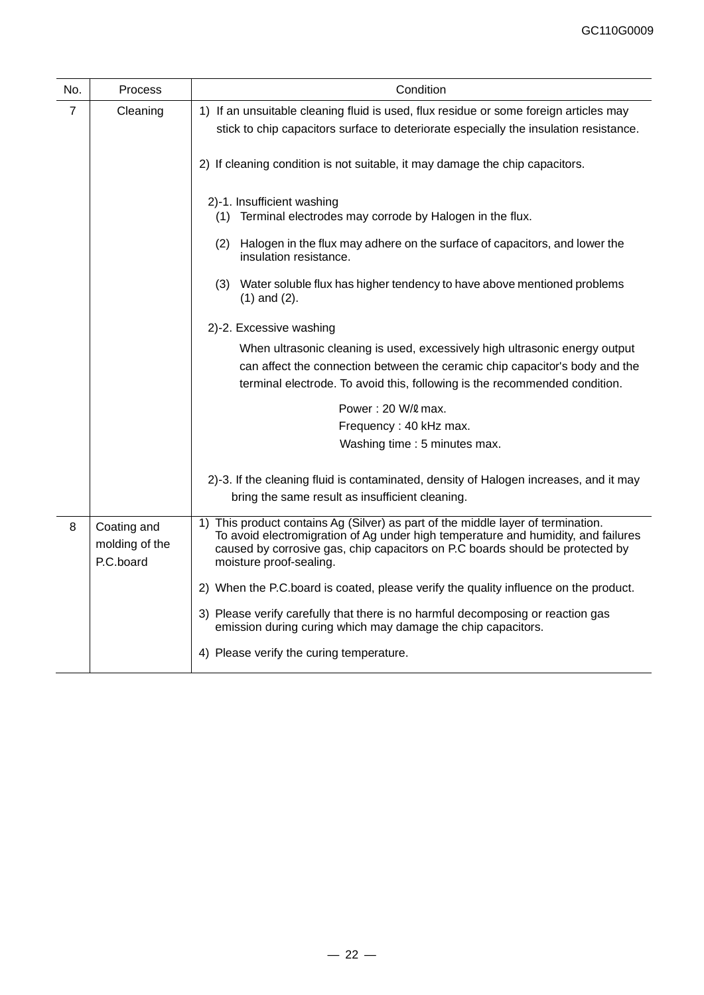| No.            | Process                                    | Condition                                                                                                                                                                                                                                                                         |
|----------------|--------------------------------------------|-----------------------------------------------------------------------------------------------------------------------------------------------------------------------------------------------------------------------------------------------------------------------------------|
| $\overline{7}$ | Cleaning                                   | 1) If an unsuitable cleaning fluid is used, flux residue or some foreign articles may<br>stick to chip capacitors surface to deteriorate especially the insulation resistance.                                                                                                    |
|                |                                            | 2) If cleaning condition is not suitable, it may damage the chip capacitors.                                                                                                                                                                                                      |
|                |                                            | 2)-1. Insufficient washing<br>(1) Terminal electrodes may corrode by Halogen in the flux.                                                                                                                                                                                         |
|                |                                            | (2) Halogen in the flux may adhere on the surface of capacitors, and lower the<br>insulation resistance.                                                                                                                                                                          |
|                |                                            | (3) Water soluble flux has higher tendency to have above mentioned problems<br>$(1)$ and $(2)$ .                                                                                                                                                                                  |
|                |                                            | 2)-2. Excessive washing                                                                                                                                                                                                                                                           |
|                |                                            | When ultrasonic cleaning is used, excessively high ultrasonic energy output<br>can affect the connection between the ceramic chip capacitor's body and the<br>terminal electrode. To avoid this, following is the recommended condition.                                          |
|                |                                            | Power: 20 W/ emax.                                                                                                                                                                                                                                                                |
|                |                                            | Frequency: 40 kHz max.                                                                                                                                                                                                                                                            |
|                |                                            | Washing time : 5 minutes max.                                                                                                                                                                                                                                                     |
|                |                                            | 2)-3. If the cleaning fluid is contaminated, density of Halogen increases, and it may                                                                                                                                                                                             |
|                |                                            | bring the same result as insufficient cleaning.                                                                                                                                                                                                                                   |
| 8              | Coating and<br>molding of the<br>P.C.board | 1) This product contains Ag (Silver) as part of the middle layer of termination.<br>To avoid electromigration of Ag under high temperature and humidity, and failures<br>caused by corrosive gas, chip capacitors on P.C boards should be protected by<br>moisture proof-sealing. |
|                |                                            | 2) When the P.C.board is coated, please verify the quality influence on the product.                                                                                                                                                                                              |
|                |                                            | 3) Please verify carefully that there is no harmful decomposing or reaction gas<br>emission during curing which may damage the chip capacitors.                                                                                                                                   |
|                |                                            | 4) Please verify the curing temperature.                                                                                                                                                                                                                                          |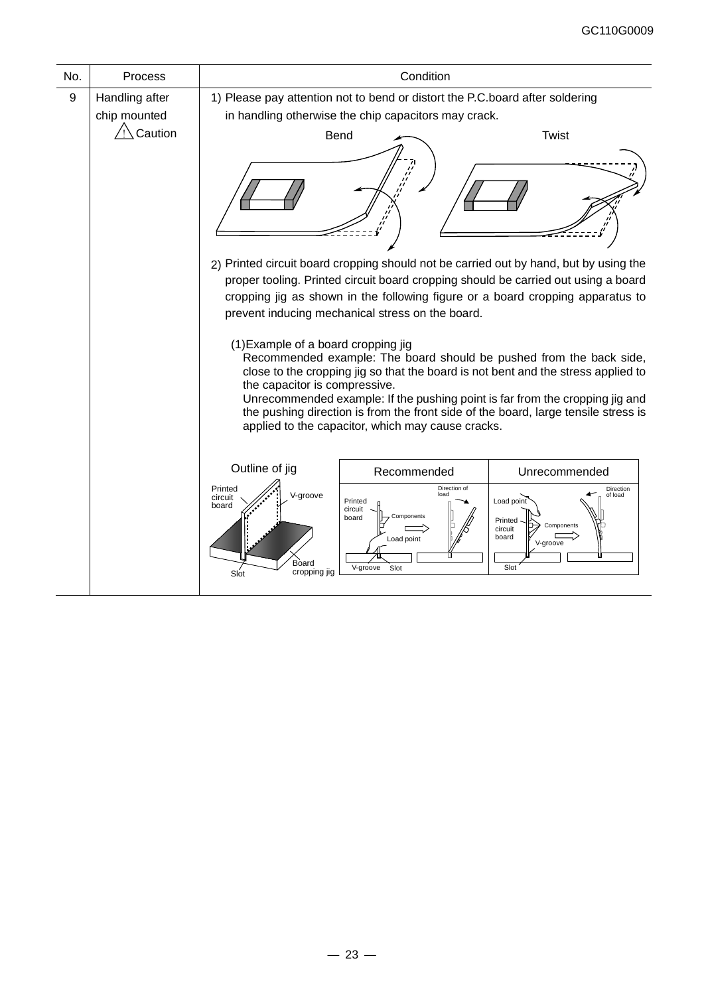| No. | Process                        |                                                                          | Condition                                                                                                                            |                                                                                                                                                                                                                                                                                                                                |
|-----|--------------------------------|--------------------------------------------------------------------------|--------------------------------------------------------------------------------------------------------------------------------------|--------------------------------------------------------------------------------------------------------------------------------------------------------------------------------------------------------------------------------------------------------------------------------------------------------------------------------|
| 9   | Handling after<br>chip mounted |                                                                          | 1) Please pay attention not to bend or distort the P.C.board after soldering<br>in handling otherwise the chip capacitors may crack. |                                                                                                                                                                                                                                                                                                                                |
|     | $\bigwedge$ Caution            |                                                                          | <b>Bend</b>                                                                                                                          | <b>Twist</b><br>2) Printed circuit board cropping should not be carried out by hand, but by using the                                                                                                                                                                                                                          |
|     |                                |                                                                          | prevent inducing mechanical stress on the board.                                                                                     | proper tooling. Printed circuit board cropping should be carried out using a board<br>cropping jig as shown in the following figure or a board cropping apparatus to                                                                                                                                                           |
|     |                                | (1) Example of a board cropping jig<br>the capacitor is compressive.     | applied to the capacitor, which may cause cracks.                                                                                    | Recommended example: The board should be pushed from the back side,<br>close to the cropping jig so that the board is not bent and the stress applied to<br>Unrecommended example: If the pushing point is far from the cropping jig and<br>the pushing direction is from the front side of the board, large tensile stress is |
|     |                                | Outline of jig                                                           | Recommended                                                                                                                          | Unrecommended                                                                                                                                                                                                                                                                                                                  |
|     |                                | Printed<br>V-groove<br>circuit<br>board<br>Board<br>cropping jig<br>Slot | Direction of<br>load<br>Printed<br>circuit<br>Components<br>board<br>Load point<br>V-groove<br>Slot                                  | Direction<br>of load<br>Load point<br>Printed<br>Components<br>circuit<br>board<br>V-groove<br>Slot                                                                                                                                                                                                                            |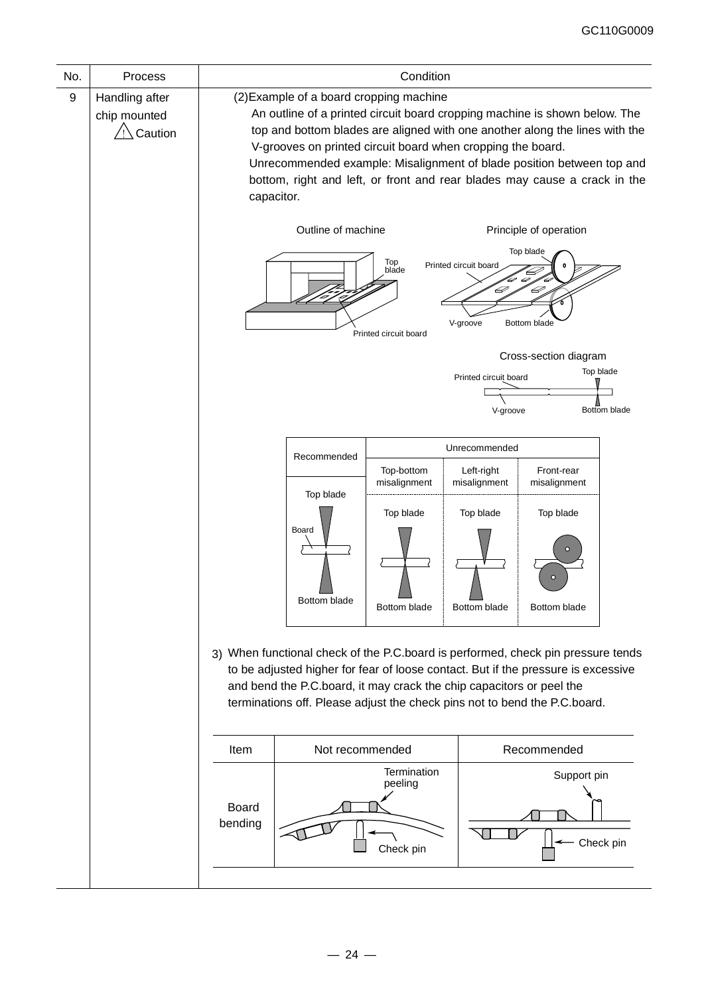| No. | Process                                   | Condition                                                                                                                                                                                                                                                                                                                                                                                                                               |                                                                                                                                                                                                                                                                                                                            |                                     |                                   |                           |                           |
|-----|-------------------------------------------|-----------------------------------------------------------------------------------------------------------------------------------------------------------------------------------------------------------------------------------------------------------------------------------------------------------------------------------------------------------------------------------------------------------------------------------------|----------------------------------------------------------------------------------------------------------------------------------------------------------------------------------------------------------------------------------------------------------------------------------------------------------------------------|-------------------------------------|-----------------------------------|---------------------------|---------------------------|
| 9   | Handling after<br>chip mounted<br>Caution | (2) Example of a board cropping machine<br>An outline of a printed circuit board cropping machine is shown below. The<br>top and bottom blades are aligned with one another along the lines with the<br>V-grooves on printed circuit board when cropping the board.<br>Unrecommended example: Misalignment of blade position between top and<br>bottom, right and left, or front and rear blades may cause a crack in the<br>capacitor. |                                                                                                                                                                                                                                                                                                                            |                                     |                                   |                           |                           |
|     |                                           |                                                                                                                                                                                                                                                                                                                                                                                                                                         | Outline of machine<br>Principle of operation<br>Top blade<br>Top<br>Printed circuit board<br>blade<br>D<br>Þ<br>V-groove<br>Bottom blade<br>Printed circuit board                                                                                                                                                          |                                     |                                   |                           |                           |
|     |                                           |                                                                                                                                                                                                                                                                                                                                                                                                                                         |                                                                                                                                                                                                                                                                                                                            |                                     | Printed circuit board<br>V-groove | Cross-section diagram     | Top blade<br>Bottom blade |
|     |                                           | Unrecommended<br>Recommended                                                                                                                                                                                                                                                                                                                                                                                                            |                                                                                                                                                                                                                                                                                                                            |                                     |                                   |                           |                           |
|     |                                           | Top-bottom<br>Left-right<br>misalignment<br>misalignment                                                                                                                                                                                                                                                                                                                                                                                |                                                                                                                                                                                                                                                                                                                            | Front-rear<br>misalignment          |                                   |                           |                           |
|     |                                           |                                                                                                                                                                                                                                                                                                                                                                                                                                         | Top blade<br>Board<br>Bottom blade                                                                                                                                                                                                                                                                                         | Top blade<br>Bottom blade           | Top blade<br>Bottom blade         | Top blade<br>Bottom blade |                           |
|     |                                           |                                                                                                                                                                                                                                                                                                                                                                                                                                         | 3) When functional check of the P.C.board is performed, check pin pressure tends<br>to be adjusted higher for fear of loose contact. But if the pressure is excessive<br>and bend the P.C.board, it may crack the chip capacitors or peel the<br>terminations off. Please adjust the check pins not to bend the P.C.board. |                                     |                                   |                           |                           |
|     |                                           | Item                                                                                                                                                                                                                                                                                                                                                                                                                                    | Not recommended<br>Recommended                                                                                                                                                                                                                                                                                             |                                     |                                   |                           |                           |
|     |                                           | <b>Board</b><br>bending                                                                                                                                                                                                                                                                                                                                                                                                                 |                                                                                                                                                                                                                                                                                                                            | Termination<br>peeling<br>Check pin |                                   | Support pin               | Check pin                 |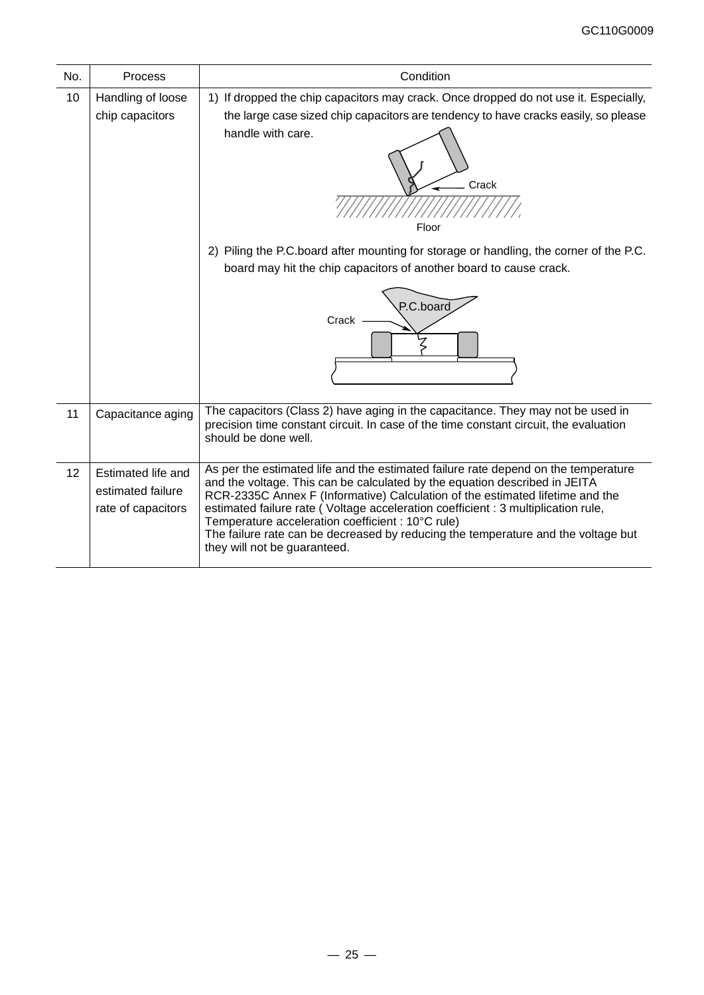| No. | Process                                                       | Condition                                                                                                                                                                                                                                                                                                                                                                                                                                                                                                        |
|-----|---------------------------------------------------------------|------------------------------------------------------------------------------------------------------------------------------------------------------------------------------------------------------------------------------------------------------------------------------------------------------------------------------------------------------------------------------------------------------------------------------------------------------------------------------------------------------------------|
| 10  | Handling of loose<br>chip capacitors                          | 1) If dropped the chip capacitors may crack. Once dropped do not use it. Especially,<br>the large case sized chip capacitors are tendency to have cracks easily, so please<br>handle with care.<br>Crack<br>Floor                                                                                                                                                                                                                                                                                                |
|     |                                                               | 2) Piling the P.C.board after mounting for storage or handling, the corner of the P.C.<br>board may hit the chip capacitors of another board to cause crack.<br>P.C.board<br>Crack                                                                                                                                                                                                                                                                                                                               |
| 11  | Capacitance aging                                             | The capacitors (Class 2) have aging in the capacitance. They may not be used in<br>precision time constant circuit. In case of the time constant circuit, the evaluation<br>should be done well.                                                                                                                                                                                                                                                                                                                 |
| 12  | Estimated life and<br>estimated failure<br>rate of capacitors | As per the estimated life and the estimated failure rate depend on the temperature<br>and the voltage. This can be calculated by the equation described in JEITA<br>RCR-2335C Annex F (Informative) Calculation of the estimated lifetime and the<br>estimated failure rate (Voltage acceleration coefficient : 3 multiplication rule,<br>Temperature acceleration coefficient : 10°C rule)<br>The failure rate can be decreased by reducing the temperature and the voltage but<br>they will not be guaranteed. |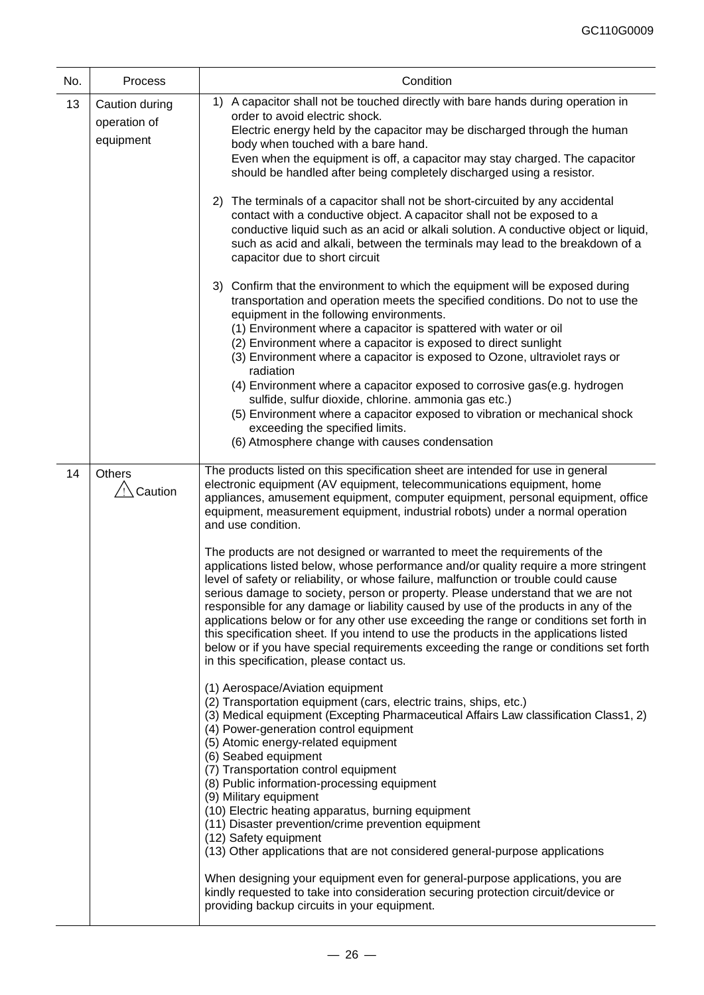| No. | Process                                     | Condition                                                                                                                                                                                                                                                                                                                                                                                                                                                                                                                                                                                                                                                                                                                                                       |  |  |  |  |
|-----|---------------------------------------------|-----------------------------------------------------------------------------------------------------------------------------------------------------------------------------------------------------------------------------------------------------------------------------------------------------------------------------------------------------------------------------------------------------------------------------------------------------------------------------------------------------------------------------------------------------------------------------------------------------------------------------------------------------------------------------------------------------------------------------------------------------------------|--|--|--|--|
| 13  | Caution during<br>operation of<br>equipment | 1) A capacitor shall not be touched directly with bare hands during operation in<br>order to avoid electric shock.<br>Electric energy held by the capacitor may be discharged through the human<br>body when touched with a bare hand.<br>Even when the equipment is off, a capacitor may stay charged. The capacitor<br>should be handled after being completely discharged using a resistor.<br>2) The terminals of a capacitor shall not be short-circuited by any accidental                                                                                                                                                                                                                                                                                |  |  |  |  |
|     |                                             | contact with a conductive object. A capacitor shall not be exposed to a<br>conductive liquid such as an acid or alkali solution. A conductive object or liquid,<br>such as acid and alkali, between the terminals may lead to the breakdown of a<br>capacitor due to short circuit                                                                                                                                                                                                                                                                                                                                                                                                                                                                              |  |  |  |  |
|     |                                             | 3) Confirm that the environment to which the equipment will be exposed during<br>transportation and operation meets the specified conditions. Do not to use the<br>equipment in the following environments.<br>(1) Environment where a capacitor is spattered with water or oil<br>(2) Environment where a capacitor is exposed to direct sunlight<br>(3) Environment where a capacitor is exposed to Ozone, ultraviolet rays or<br>radiation                                                                                                                                                                                                                                                                                                                   |  |  |  |  |
|     |                                             | (4) Environment where a capacitor exposed to corrosive gas(e.g. hydrogen<br>sulfide, sulfur dioxide, chlorine. ammonia gas etc.)<br>(5) Environment where a capacitor exposed to vibration or mechanical shock<br>exceeding the specified limits.<br>(6) Atmosphere change with causes condensation                                                                                                                                                                                                                                                                                                                                                                                                                                                             |  |  |  |  |
| 14  | <b>Others</b><br>/!∖ Caution                | The products listed on this specification sheet are intended for use in general<br>electronic equipment (AV equipment, telecommunications equipment, home<br>appliances, amusement equipment, computer equipment, personal equipment, office<br>equipment, measurement equipment, industrial robots) under a normal operation<br>and use condition.                                                                                                                                                                                                                                                                                                                                                                                                             |  |  |  |  |
|     |                                             | The products are not designed or warranted to meet the requirements of the<br>applications listed below, whose performance and/or quality require a more stringent<br>level of safety or reliability, or whose failure, malfunction or trouble could cause<br>serious damage to society, person or property. Please understand that we are not<br>responsible for any damage or liability caused by use of the products in any of the<br>applications below or for any other use exceeding the range or conditions set forth in<br>this specification sheet. If you intend to use the products in the applications listed<br>below or if you have special requirements exceeding the range or conditions set forth<br>in this specification, please contact us. |  |  |  |  |
|     |                                             | (1) Aerospace/Aviation equipment<br>(2) Transportation equipment (cars, electric trains, ships, etc.)<br>(3) Medical equipment (Excepting Pharmaceutical Affairs Law classification Class1, 2)<br>(4) Power-generation control equipment<br>(5) Atomic energy-related equipment<br>(6) Seabed equipment<br>(7) Transportation control equipment<br>(8) Public information-processing equipment<br>(9) Military equipment<br>(10) Electric heating apparatus, burning equipment                                                                                                                                                                                                                                                                                  |  |  |  |  |
|     |                                             | (11) Disaster prevention/crime prevention equipment<br>(12) Safety equipment<br>(13) Other applications that are not considered general-purpose applications                                                                                                                                                                                                                                                                                                                                                                                                                                                                                                                                                                                                    |  |  |  |  |
|     |                                             | When designing your equipment even for general-purpose applications, you are<br>kindly requested to take into consideration securing protection circuit/device or<br>providing backup circuits in your equipment.                                                                                                                                                                                                                                                                                                                                                                                                                                                                                                                                               |  |  |  |  |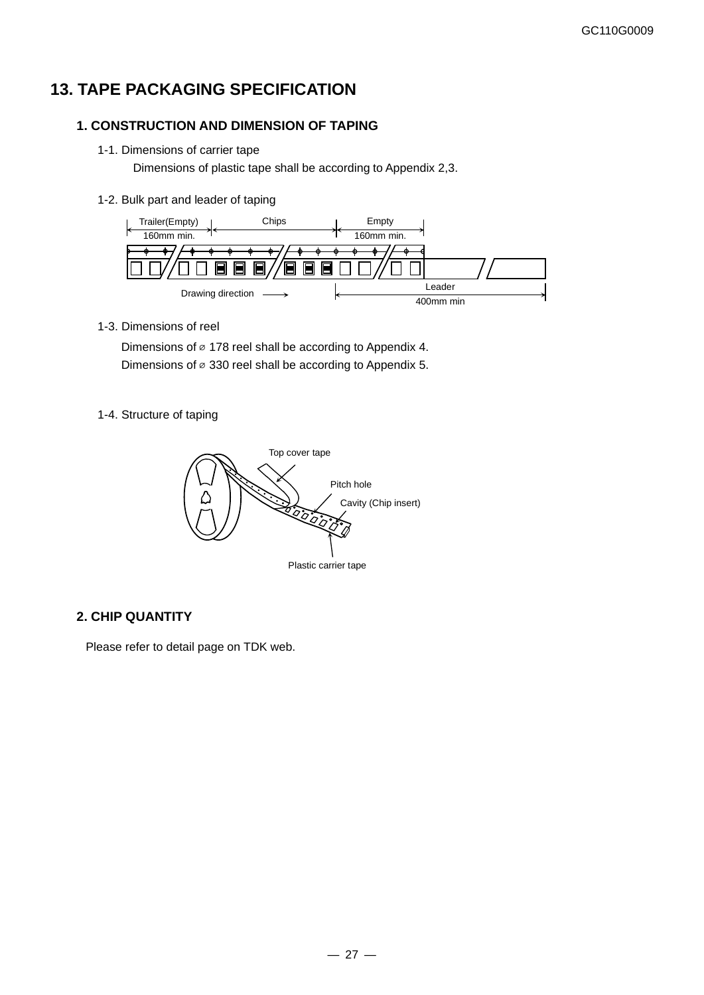## **13. TAPE PACKAGING SPECIFICATION**

#### **1. CONSTRUCTION AND DIMENSION OF TAPING**

1-1. Dimensions of carrier tape

Dimensions of plastic tape shall be according to Appendix 2,3.

1-2. Bulk part and leader of taping



1-3. Dimensions of reel

Dimensions of  $\varnothing$  178 reel shall be according to Appendix 4. Dimensions of  $\varnothing$  330 reel shall be according to Appendix 5.

1-4. Structure of taping



### **2. CHIP QUANTITY**

Please refer to detail page on TDK web.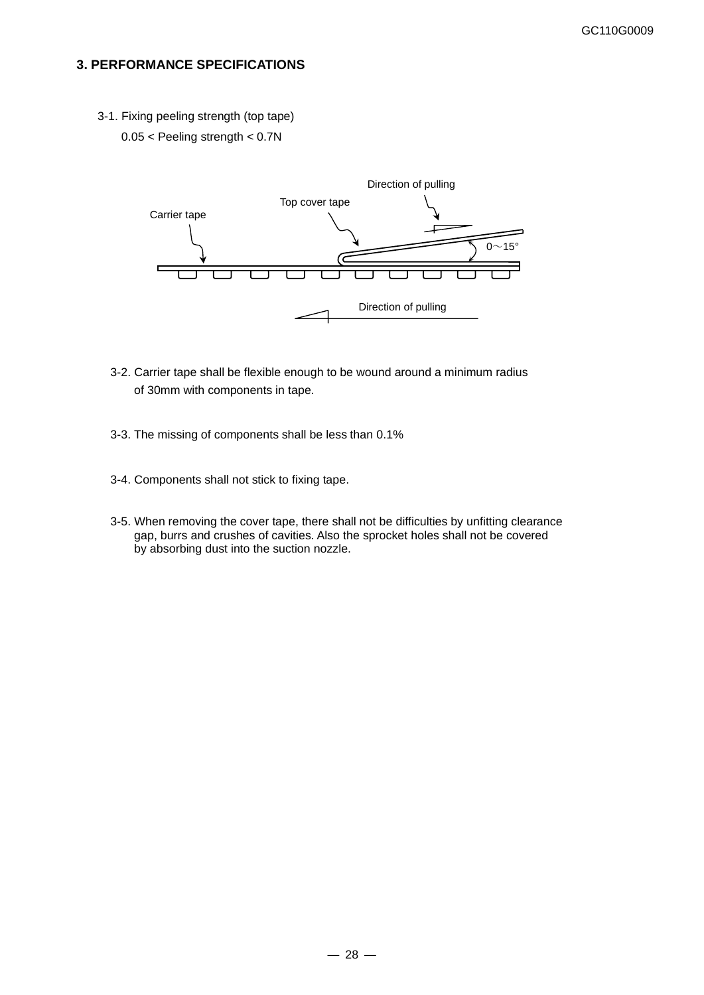#### **3. PERFORMANCE SPECIFICATIONS**

- 3-1. Fixing peeling strength (top tape)
	- 0.05 < Peeling strength < 0.7N



- 3-2. Carrier tape shall be flexible enough to be wound around a minimum radius of 30mm with components in tape.
- 3-3. The missing of components shall be less than 0.1%
- 3-4. Components shall not stick to fixing tape.
- 3-5. When removing the cover tape, there shall not be difficulties by unfitting clearance gap, burrs and crushes of cavities. Also the sprocket holes shall not be covered by absorbing dust into the suction nozzle.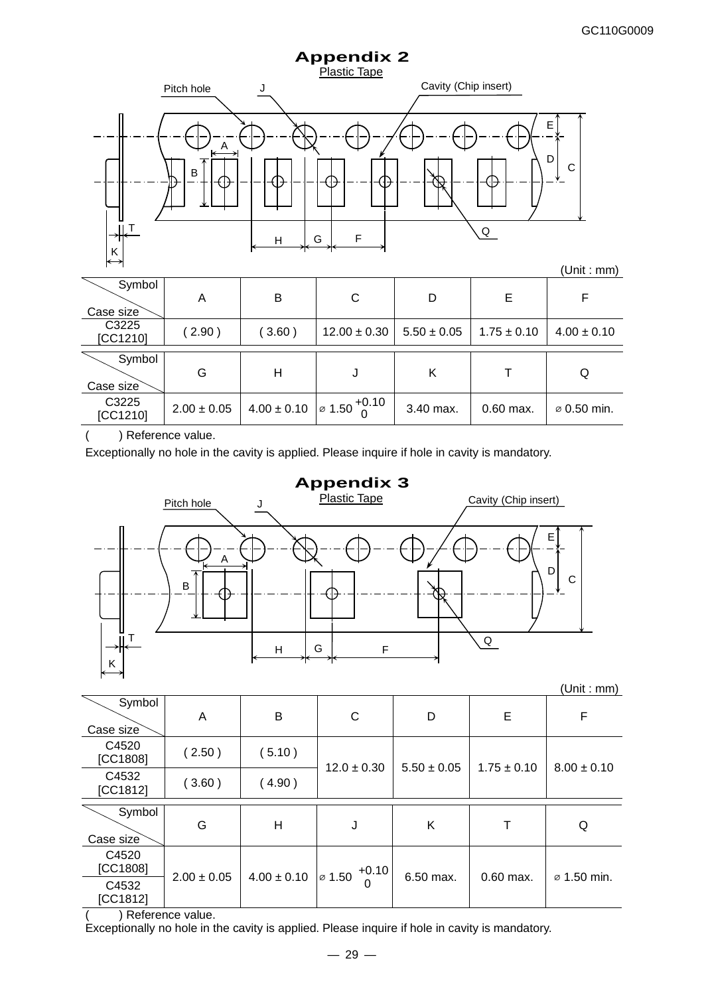

|                     |                 |                 |                                        |                 |                 | .               |
|---------------------|-----------------|-----------------|----------------------------------------|-----------------|-----------------|-----------------|
| Symbol<br>Case size | Α               | B               | C                                      | D               | Е               |                 |
| C3225<br>[CC1210]   | (2.90)          | (3.60)          | $12.00 \pm 0.30$                       | $5.50 \pm 0.05$ | $1.75 \pm 0.10$ | $4.00 \pm 0.10$ |
|                     |                 |                 |                                        |                 |                 |                 |
| Symbol<br>Case size | G               | Н               |                                        | Κ               |                 | Q               |
| C3225<br>[CC1210]   | $2.00 \pm 0.05$ | $4.00 \pm 0.10$ | $\frac{1}{2}$ 1.50 $\frac{+0.10}{2}$ 1 | 3.40 max.       | $0.60$ max.     | ⊘ 0.50 min.     |

( ) Reference value.

Exceptionally no hole in the cavity is applied. Please inquire if hole in cavity is mandatory.



(Unit : mm)

| Symbol<br>Case size | A               | B               | $\mathsf{C}$                       | D               | E               | F                       |
|---------------------|-----------------|-----------------|------------------------------------|-----------------|-----------------|-------------------------|
| C4520<br>[CC1808]   | (2.50)          | (5.10)          | $12.0 \pm 0.30$                    | $5.50 \pm 0.05$ | $1.75 \pm 0.10$ | $8.00 \pm 0.10$         |
| C4532<br>[CC1812]   | (3.60)          | (4.90)          |                                    |                 |                 |                         |
| Symbol<br>Case size | G               | Н               | J                                  | Κ               | т               | Q                       |
| C4520<br>[CC1808]   | $2.00 \pm 0.05$ | $4.00 \pm 0.10$ | $+0.10$<br>$\varnothing$ 1.50<br>0 | 6.50 max.       | $0.60$ max.     | $\varnothing$ 1.50 min. |
| C4532<br>[CC1812]   |                 |                 |                                    |                 |                 |                         |

( ) Reference value.

Exceptionally no hole in the cavity is applied. Please inquire if hole in cavity is mandatory.